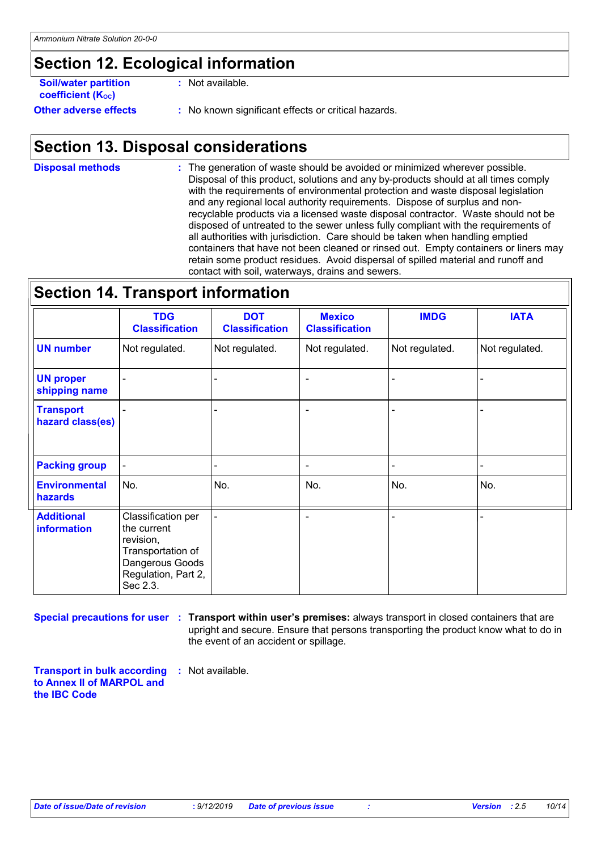### **Section 12. Ecological information**

| <b>Soil/water partition</b>  | : Not available.     |
|------------------------------|----------------------|
| <b>coefficient (Koc)</b>     |                      |
| <b>Other adverse effects</b> | : No known significa |

**Other adverse effects :** No known significant effects or critical hazards.

### **Section 13. Disposal considerations**

The generation of waste should be avoided or minimized wherever possible. Disposal of this product, solutions and any by-products should at all times comply with the requirements of environmental protection and waste disposal legislation and any regional local authority requirements. Dispose of surplus and nonrecyclable products via a licensed waste disposal contractor. Waste should not be disposed of untreated to the sewer unless fully compliant with the requirements of all authorities with jurisdiction. Care should be taken when handling emptied containers that have not been cleaned or rinsed out. Empty containers or liners may retain some product residues. Avoid dispersal of spilled material and runoff and contact with soil, waterways, drains and sewers. **Disposal methods :**

**Section 14. Transport information**

|                                         | <b>TDG</b><br><b>Classification</b>                                                                                       | <b>DOT</b><br><b>Classification</b> | <b>Mexico</b><br><b>Classification</b> | <b>IMDG</b>    | <b>IATA</b>    |
|-----------------------------------------|---------------------------------------------------------------------------------------------------------------------------|-------------------------------------|----------------------------------------|----------------|----------------|
| <b>UN number</b>                        | Not regulated.                                                                                                            | Not regulated.                      | Not regulated.                         | Not regulated. | Not regulated. |
| <b>UN proper</b><br>shipping name       |                                                                                                                           |                                     |                                        |                |                |
| <b>Transport</b><br>hazard class(es)    |                                                                                                                           |                                     | $\overline{\phantom{a}}$               |                |                |
| <b>Packing group</b>                    |                                                                                                                           |                                     | $\overline{\phantom{a}}$               |                |                |
| <b>Environmental</b><br>hazards         | No.                                                                                                                       | No.                                 | No.                                    | No.            | No.            |
| <b>Additional</b><br><b>information</b> | Classification per<br>the current<br>revision,<br>Transportation of<br>Dangerous Goods<br>Regulation, Part 2,<br>Sec 2.3. |                                     |                                        |                |                |

**Special precautions for user Transport within user's premises:** always transport in closed containers that are **:** upright and secure. Ensure that persons transporting the product know what to do in the event of an accident or spillage.

**Transport in bulk according :** Not available. **to Annex II of MARPOL and the IBC Code**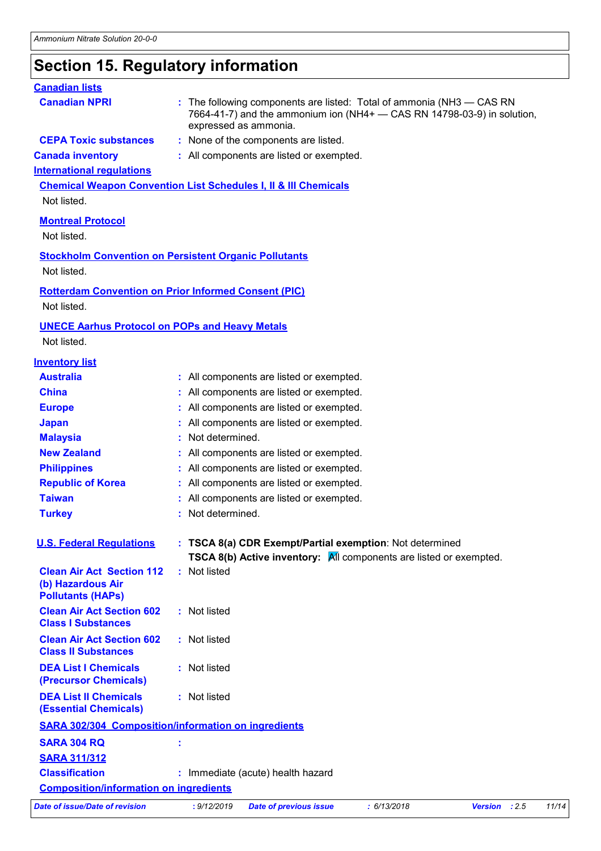# **Section 15. Regulatory information**

| <b>Canadian lists</b>                                                                     |                   |                                                                                                                                                                           |             |                |       |       |
|-------------------------------------------------------------------------------------------|-------------------|---------------------------------------------------------------------------------------------------------------------------------------------------------------------------|-------------|----------------|-------|-------|
| <b>Canadian NPRI</b>                                                                      |                   | : The following components are listed: Total of ammonia (NH3 - CAS RN<br>7664-41-7) and the ammonium ion (NH4+ - CAS RN 14798-03-9) in solution,<br>expressed as ammonia. |             |                |       |       |
| <b>CEPA Toxic substances</b>                                                              |                   | : None of the components are listed.                                                                                                                                      |             |                |       |       |
| <b>Canada inventory</b>                                                                   |                   | : All components are listed or exempted.                                                                                                                                  |             |                |       |       |
| <b>International regulations</b>                                                          |                   |                                                                                                                                                                           |             |                |       |       |
| <b>Chemical Weapon Convention List Schedules I, II &amp; III Chemicals</b><br>Not listed. |                   |                                                                                                                                                                           |             |                |       |       |
| <b>Montreal Protocol</b><br>Not listed.                                                   |                   |                                                                                                                                                                           |             |                |       |       |
| <b>Stockholm Convention on Persistent Organic Pollutants</b>                              |                   |                                                                                                                                                                           |             |                |       |       |
| Not listed.                                                                               |                   |                                                                                                                                                                           |             |                |       |       |
| <b>Rotterdam Convention on Prior Informed Consent (PIC)</b><br>Not listed.                |                   |                                                                                                                                                                           |             |                |       |       |
| <b>UNECE Aarhus Protocol on POPs and Heavy Metals</b>                                     |                   |                                                                                                                                                                           |             |                |       |       |
| Not listed.                                                                               |                   |                                                                                                                                                                           |             |                |       |       |
| <b>Inventory list</b>                                                                     |                   |                                                                                                                                                                           |             |                |       |       |
| <b>Australia</b>                                                                          |                   | : All components are listed or exempted.                                                                                                                                  |             |                |       |       |
| <b>China</b>                                                                              |                   | : All components are listed or exempted.                                                                                                                                  |             |                |       |       |
| <b>Europe</b>                                                                             |                   | : All components are listed or exempted.                                                                                                                                  |             |                |       |       |
| <b>Japan</b>                                                                              |                   | : All components are listed or exempted.                                                                                                                                  |             |                |       |       |
| <b>Malaysia</b>                                                                           | Not determined.   |                                                                                                                                                                           |             |                |       |       |
| <b>New Zealand</b>                                                                        |                   | : All components are listed or exempted.                                                                                                                                  |             |                |       |       |
| <b>Philippines</b>                                                                        |                   | : All components are listed or exempted.                                                                                                                                  |             |                |       |       |
| <b>Republic of Korea</b>                                                                  |                   | : All components are listed or exempted.                                                                                                                                  |             |                |       |       |
| <b>Taiwan</b>                                                                             |                   | : All components are listed or exempted.                                                                                                                                  |             |                |       |       |
| <b>Turkey</b>                                                                             | : Not determined. |                                                                                                                                                                           |             |                |       |       |
| <b>U.S. Federal Requlations</b>                                                           |                   | : TSCA 8(a) CDR Exempt/Partial exemption: Not determined<br><b>TSCA 8(b) Active inventory:</b> $\overline{M}$ components are listed or exempted.                          |             |                |       |       |
| <b>Clean Air Act Section 112</b><br>(b) Hazardous Air<br><b>Pollutants (HAPs)</b>         | : Not listed      |                                                                                                                                                                           |             |                |       |       |
| <b>Clean Air Act Section 602</b><br><b>Class I Substances</b>                             | : Not listed      |                                                                                                                                                                           |             |                |       |       |
| <b>Clean Air Act Section 602</b><br><b>Class II Substances</b>                            | : Not listed      |                                                                                                                                                                           |             |                |       |       |
| <b>DEA List I Chemicals</b><br>(Precursor Chemicals)                                      | : Not listed      |                                                                                                                                                                           |             |                |       |       |
| <b>DEA List II Chemicals</b><br><b>(Essential Chemicals)</b>                              | : Not listed      |                                                                                                                                                                           |             |                |       |       |
| <b>SARA 302/304 Composition/information on ingredients</b>                                |                   |                                                                                                                                                                           |             |                |       |       |
| <b>SARA 304 RQ</b>                                                                        |                   |                                                                                                                                                                           |             |                |       |       |
| <b>SARA 311/312</b>                                                                       |                   |                                                                                                                                                                           |             |                |       |       |
| <b>Classification</b>                                                                     |                   | : Immediate (acute) health hazard                                                                                                                                         |             |                |       |       |
| <b>Composition/information on ingredients</b>                                             |                   |                                                                                                                                                                           |             |                |       |       |
| <b>Date of issue/Date of revision</b>                                                     | : 9/12/2019       | <b>Date of previous issue</b>                                                                                                                                             | : 6/13/2018 | <b>Version</b> | : 2.5 | 11/14 |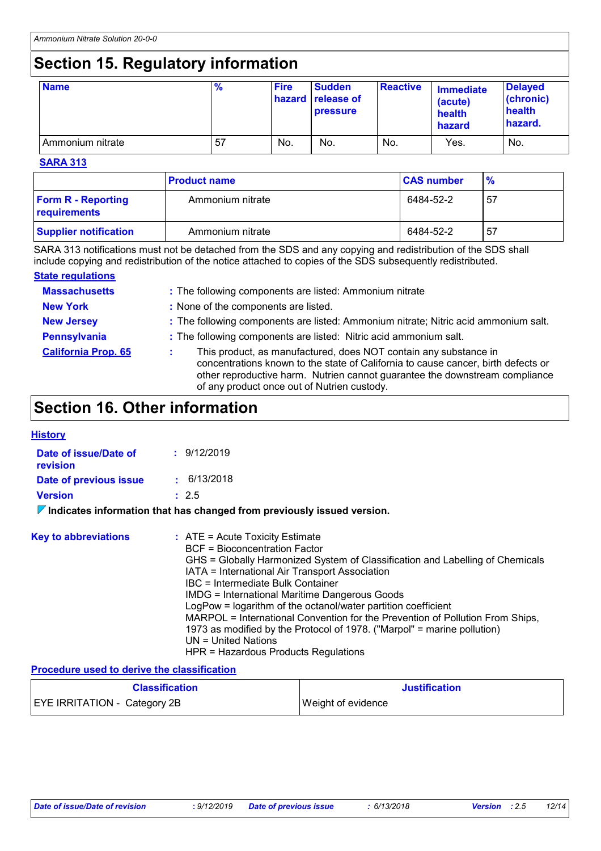# **Section 15. Regulatory information**

| <b>Name</b>      | $\frac{9}{6}$ | <b>Fire</b> | <b>Sudden</b><br>hazard release of<br><b>pressure</b> | <b>Reactive</b> | <b>Immediate</b><br>(acute)<br>health<br>hazard | <b>Delayed</b><br>(chronic)<br>health<br>hazard. |
|------------------|---------------|-------------|-------------------------------------------------------|-----------------|-------------------------------------------------|--------------------------------------------------|
| Ammonium nitrate | 57            | No.         | No.                                                   | No.             | Yes.                                            | No.                                              |

#### **SARA 313**

|                                           | <b>Product name</b> | <b>CAS number</b> | $\frac{9}{6}$ |
|-------------------------------------------|---------------------|-------------------|---------------|
| <b>Form R - Reporting</b><br>requirements | Ammonium nitrate    | 6484-52-2         | . 57          |
| <b>Supplier notification</b>              | Ammonium nitrate    | 6484-52-2         | . 57          |

SARA 313 notifications must not be detached from the SDS and any copying and redistribution of the SDS shall include copying and redistribution of the notice attached to copies of the SDS subsequently redistributed.

#### **State regulations**

| <b>Massachusetts</b>       | : The following components are listed: Ammonium nitrate                                                                                                                                                                                                                             |
|----------------------------|-------------------------------------------------------------------------------------------------------------------------------------------------------------------------------------------------------------------------------------------------------------------------------------|
| <b>New York</b>            | : None of the components are listed.                                                                                                                                                                                                                                                |
| <b>New Jersey</b>          | : The following components are listed: Ammonium nitrate; Nitric acid ammonium salt.                                                                                                                                                                                                 |
| <b>Pennsylvania</b>        | : The following components are listed: Nitric acid ammonium salt.                                                                                                                                                                                                                   |
| <b>California Prop. 65</b> | This product, as manufactured, does NOT contain any substance in<br>concentrations known to the state of California to cause cancer, birth defects or<br>other reproductive harm. Nutrien cannot guarantee the downstream compliance<br>of any product once out of Nutrien custody. |

### **Section 16. Other information**

| Historv |
|---------|
|---------|

| Date of issue/Date of<br>revision | : 9/12/2019 |
|-----------------------------------|-------------|
| Date of previous issue            | : 6/13/2018 |
| <b>Version</b>                    | : 2.5       |
|                                   |             |

#### **Indicates information that has changed from previously issued version.**

| <b>Key to abbreviations</b> | $\therefore$ ATE = Acute Toxicity Estimate<br><b>BCF</b> = Bioconcentration Factor<br>GHS = Globally Harmonized System of Classification and Labelling of Chemicals<br>IATA = International Air Transport Association<br>IBC = Intermediate Bulk Container<br><b>IMDG = International Maritime Dangerous Goods</b><br>LogPow = logarithm of the octanol/water partition coefficient<br>MARPOL = International Convention for the Prevention of Pollution From Ships,<br>1973 as modified by the Protocol of 1978. ("Marpol" = marine pollution)<br>UN = United Nations |
|-----------------------------|------------------------------------------------------------------------------------------------------------------------------------------------------------------------------------------------------------------------------------------------------------------------------------------------------------------------------------------------------------------------------------------------------------------------------------------------------------------------------------------------------------------------------------------------------------------------|
|                             | HPR = Hazardous Products Regulations                                                                                                                                                                                                                                                                                                                                                                                                                                                                                                                                   |

#### **Procedure used to derive the classification**

| <b>Classification</b>               | Justification             |
|-------------------------------------|---------------------------|
| <b>EYE IRRITATION - Category 2B</b> | <b>Weight of evidence</b> |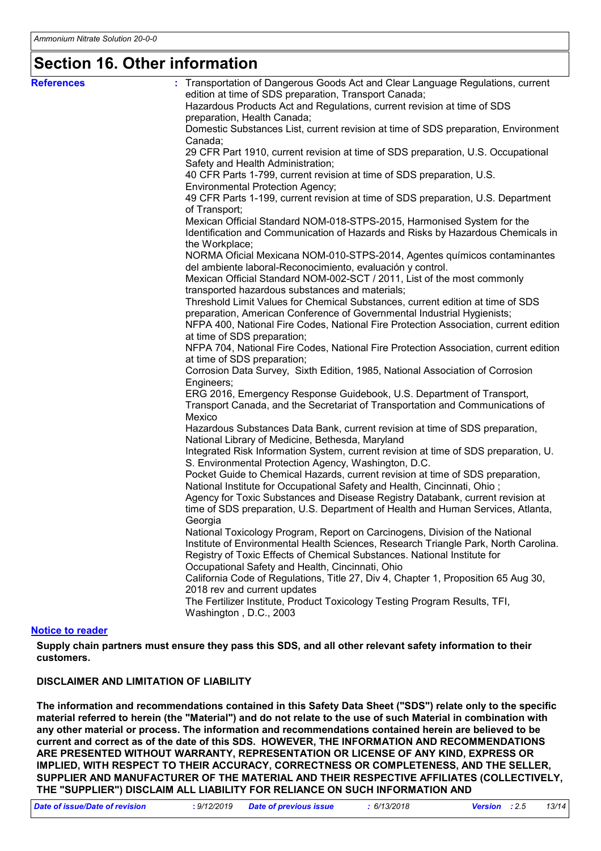## **Section 16. Other information**

| <b>References</b>       | : Transportation of Dangerous Goods Act and Clear Language Regulations, current                                                             |
|-------------------------|---------------------------------------------------------------------------------------------------------------------------------------------|
|                         | edition at time of SDS preparation, Transport Canada;                                                                                       |
|                         | Hazardous Products Act and Regulations, current revision at time of SDS                                                                     |
|                         | preparation, Health Canada;                                                                                                                 |
|                         | Domestic Substances List, current revision at time of SDS preparation, Environment                                                          |
|                         | Canada;<br>29 CFR Part 1910, current revision at time of SDS preparation, U.S. Occupational                                                 |
|                         | Safety and Health Administration;                                                                                                           |
|                         | 40 CFR Parts 1-799, current revision at time of SDS preparation, U.S.                                                                       |
|                         | <b>Environmental Protection Agency;</b>                                                                                                     |
|                         | 49 CFR Parts 1-199, current revision at time of SDS preparation, U.S. Department<br>of Transport;                                           |
|                         | Mexican Official Standard NOM-018-STPS-2015, Harmonised System for the                                                                      |
|                         | Identification and Communication of Hazards and Risks by Hazardous Chemicals in                                                             |
|                         | the Workplace;                                                                                                                              |
|                         | NORMA Oficial Mexicana NOM-010-STPS-2014, Agentes químicos contaminantes                                                                    |
|                         | del ambiente laboral-Reconocimiento, evaluación y control.                                                                                  |
|                         | Mexican Official Standard NOM-002-SCT / 2011, List of the most commonly                                                                     |
|                         | transported hazardous substances and materials;                                                                                             |
|                         | Threshold Limit Values for Chemical Substances, current edition at time of SDS                                                              |
|                         | preparation, American Conference of Governmental Industrial Hygienists;                                                                     |
|                         | NFPA 400, National Fire Codes, National Fire Protection Association, current edition                                                        |
|                         | at time of SDS preparation;                                                                                                                 |
|                         | NFPA 704, National Fire Codes, National Fire Protection Association, current edition                                                        |
|                         | at time of SDS preparation;                                                                                                                 |
|                         | Corrosion Data Survey, Sixth Edition, 1985, National Association of Corrosion                                                               |
|                         | Engineers;                                                                                                                                  |
|                         | ERG 2016, Emergency Response Guidebook, U.S. Department of Transport,                                                                       |
|                         | Transport Canada, and the Secretariat of Transportation and Communications of                                                               |
|                         | Mexico                                                                                                                                      |
|                         | Hazardous Substances Data Bank, current revision at time of SDS preparation,<br>National Library of Medicine, Bethesda, Maryland            |
|                         | Integrated Risk Information System, current revision at time of SDS preparation, U.<br>S. Environmental Protection Agency, Washington, D.C. |
|                         | Pocket Guide to Chemical Hazards, current revision at time of SDS preparation,                                                              |
|                         | National Institute for Occupational Safety and Health, Cincinnati, Ohio;                                                                    |
|                         | Agency for Toxic Substances and Disease Registry Databank, current revision at                                                              |
|                         | time of SDS preparation, U.S. Department of Health and Human Services, Atlanta,                                                             |
|                         | Georgia                                                                                                                                     |
|                         | National Toxicology Program, Report on Carcinogens, Division of the National                                                                |
|                         | Institute of Environmental Health Sciences, Research Triangle Park, North Carolina.                                                         |
|                         | Registry of Toxic Effects of Chemical Substances. National Institute for                                                                    |
|                         | Occupational Safety and Health, Cincinnati, Ohio                                                                                            |
|                         | California Code of Regulations, Title 27, Div 4, Chapter 1, Proposition 65 Aug 30,                                                          |
|                         | 2018 rev and current updates                                                                                                                |
|                         | The Fertilizer Institute, Product Toxicology Testing Program Results, TFI,                                                                  |
|                         | Washington, D.C., 2003                                                                                                                      |
| <b>Notice to reader</b> |                                                                                                                                             |

**Supply chain partners must ensure they pass this SDS, and all other relevant safety information to their customers.**

#### **DISCLAIMER AND LIMITATION OF LIABILITY**

**The information and recommendations contained in this Safety Data Sheet ("SDS") relate only to the specific material referred to herein (the "Material") and do not relate to the use of such Material in combination with any other material or process. The information and recommendations contained herein are believed to be current and correct as of the date of this SDS. HOWEVER, THE INFORMATION AND RECOMMENDATIONS ARE PRESENTED WITHOUT WARRANTY, REPRESENTATION OR LICENSE OF ANY KIND, EXPRESS OR IMPLIED, WITH RESPECT TO THEIR ACCURACY, CORRECTNESS OR COMPLETENESS, AND THE SELLER, SUPPLIER AND MANUFACTURER OF THE MATERIAL AND THEIR RESPECTIVE AFFILIATES (COLLECTIVELY, THE "SUPPLIER") DISCLAIM ALL LIABILITY FOR RELIANCE ON SUCH INFORMATION AND** 

| Date of issue/Date of revision | : 9/12/2019 Date of previous issue | 6/13/2018 | <b>Version</b> : 2.5 | 13/14 |
|--------------------------------|------------------------------------|-----------|----------------------|-------|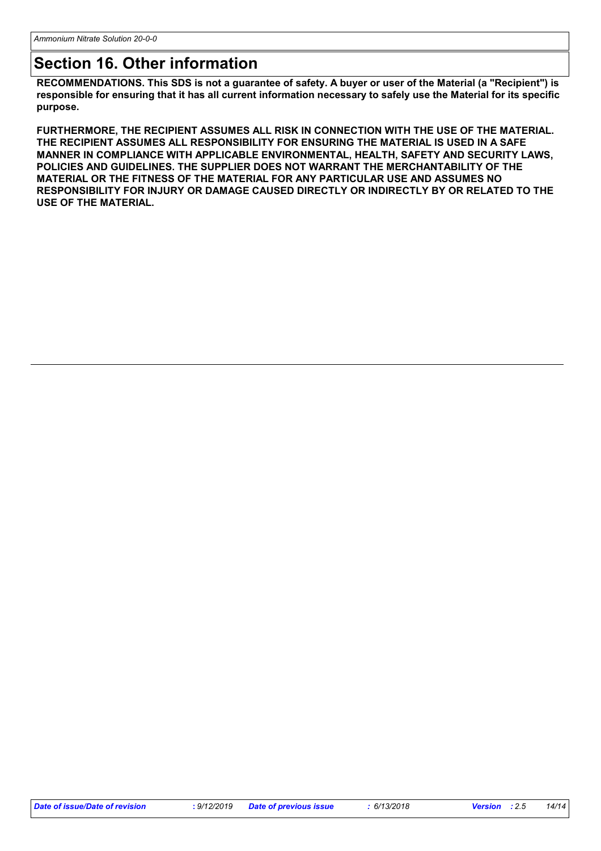### **Section 16. Other information**

**RECOMMENDATIONS. This SDS is not a guarantee of safety. A buyer or user of the Material (a "Recipient") is responsible for ensuring that it has all current information necessary to safely use the Material for its specific purpose.**

**FURTHERMORE, THE RECIPIENT ASSUMES ALL RISK IN CONNECTION WITH THE USE OF THE MATERIAL. THE RECIPIENT ASSUMES ALL RESPONSIBILITY FOR ENSURING THE MATERIAL IS USED IN A SAFE MANNER IN COMPLIANCE WITH APPLICABLE ENVIRONMENTAL, HEALTH, SAFETY AND SECURITY LAWS, POLICIES AND GUIDELINES. THE SUPPLIER DOES NOT WARRANT THE MERCHANTABILITY OF THE MATERIAL OR THE FITNESS OF THE MATERIAL FOR ANY PARTICULAR USE AND ASSUMES NO RESPONSIBILITY FOR INJURY OR DAMAGE CAUSED DIRECTLY OR INDIRECTLY BY OR RELATED TO THE USE OF THE MATERIAL.**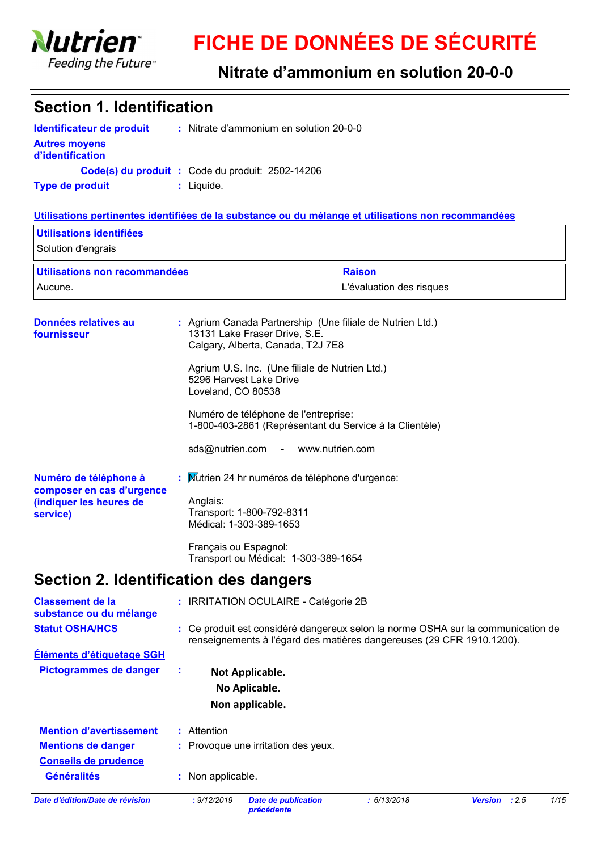

# **FICHE DE DONNÉES DE SÉCURITÉ**

### **Nitrate d'ammonium en solution 20-0-0**

| <b>Section 1. Identification</b>                                      |                                                                                                                                                           |                          |               |      |
|-----------------------------------------------------------------------|-----------------------------------------------------------------------------------------------------------------------------------------------------------|--------------------------|---------------|------|
| Identificateur de produit<br><b>Autres moyens</b><br>d'identification | : Nitrate d'ammonium en solution 20-0-0                                                                                                                   |                          |               |      |
|                                                                       | Code(s) du produit : Code du produit: 2502-14206                                                                                                          |                          |               |      |
| <b>Type de produit</b>                                                | : Liquide.                                                                                                                                                |                          |               |      |
|                                                                       | Utilisations pertinentes identifiées de la substance ou du mélange et utilisations non recommandées                                                       |                          |               |      |
| Utilisations identifiées<br>Solution d'engrais                        |                                                                                                                                                           |                          |               |      |
| Utilisations non recommandées                                         |                                                                                                                                                           | <b>Raison</b>            |               |      |
| Aucune.                                                               |                                                                                                                                                           | L'évaluation des risques |               |      |
| Données relatives au<br>fournisseur                                   | : Agrium Canada Partnership (Une filiale de Nutrien Ltd.)<br>13131 Lake Fraser Drive, S.E.<br>Calgary, Alberta, Canada, T2J 7E8                           |                          |               |      |
|                                                                       | Agrium U.S. Inc. (Une filiale de Nutrien Ltd.)<br>5296 Harvest Lake Drive<br>Loveland, CO 80538                                                           |                          |               |      |
|                                                                       | Numéro de téléphone de l'entreprise:<br>1-800-403-2861 (Représentant du Service à la Clientèle)                                                           |                          |               |      |
|                                                                       | sds@nutrien.com - www.nutrien.com                                                                                                                         |                          |               |      |
| Numéro de téléphone à<br>composer en cas d'urgence                    | : Mutrien 24 hr numéros de téléphone d'urgence:                                                                                                           |                          |               |      |
| (indiquer les heures de<br>service)                                   | Anglais:<br>Transport: 1-800-792-8311<br>Médical: 1-303-389-1653                                                                                          |                          |               |      |
|                                                                       | Français ou Espagnol:<br>Transport ou Médical: 1-303-389-1654                                                                                             |                          |               |      |
|                                                                       | Section 2. Identification des dangers                                                                                                                     |                          |               |      |
| <b>Classement de la</b><br>substance ou du mélange                    | : IRRITATION OCULAIRE - Catégorie 2B                                                                                                                      |                          |               |      |
| <b>Statut OSHA/HCS</b>                                                | : Ce produit est considéré dangereux selon la norme OSHA sur la communication de<br>renseignements à l'égard des matières dangereuses (29 CFR 1910.1200). |                          |               |      |
| Éléments d'étiquetage SGH                                             |                                                                                                                                                           |                          |               |      |
| Pictogrammes de danger                                                | ÷<br>Not Applicable.                                                                                                                                      |                          |               |      |
|                                                                       | No Aplicable.                                                                                                                                             |                          |               |      |
|                                                                       | Non applicable.                                                                                                                                           |                          |               |      |
| <b>Mention d'avertissement</b>                                        | : Attention                                                                                                                                               |                          |               |      |
| <b>Mentions de danger</b>                                             | : Provoque une irritation des yeux.                                                                                                                       |                          |               |      |
| <b>Conseils de prudence</b><br><b>Généralités</b>                     | : Non applicable.                                                                                                                                         |                          |               |      |
| Date d'édition/Date de révision                                       | : 9/12/2019<br><b>Date de publication</b>                                                                                                                 | : 6/13/2018              | Version : 2.5 | 1/15 |

*précédente*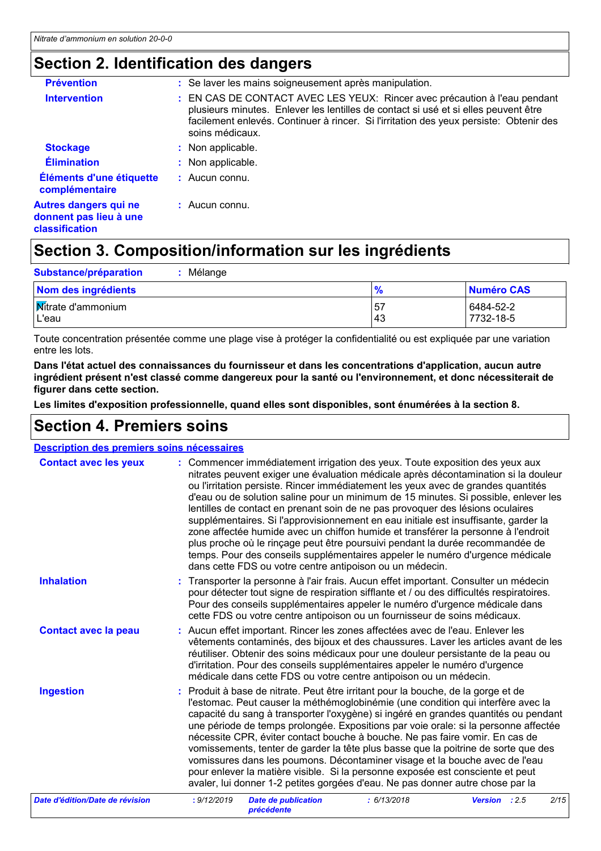### **Section 2. Identification des dangers**

| <b>Prévention</b>                                                        | : Se laver les mains soigneusement après manipulation.                                                                                                                                                                                                                        |
|--------------------------------------------------------------------------|-------------------------------------------------------------------------------------------------------------------------------------------------------------------------------------------------------------------------------------------------------------------------------|
| <b>Intervention</b>                                                      | : EN CAS DE CONTACT AVEC LES YEUX: Rincer avec précaution à l'eau pendant<br>plusieurs minutes. Enlever les lentilles de contact si usé et si elles peuvent être<br>facilement enlevés. Continuer à rincer. Si l'irritation des yeux persiste: Obtenir des<br>soins médicaux. |
| <b>Stockage</b>                                                          | : Non applicable.                                                                                                                                                                                                                                                             |
| <b>Élimination</b>                                                       | : Non applicable.                                                                                                                                                                                                                                                             |
| Éléments d'une étiquette<br>complémentaire                               | $:$ Aucun connu.                                                                                                                                                                                                                                                              |
| Autres dangers qui ne<br>donnent pas lieu à une<br><b>classification</b> | $:$ Aucun connu.                                                                                                                                                                                                                                                              |

### **Section 3. Composition/information sur les ingrédients**

| Substance/préparation<br>Mélange   |           |                        |
|------------------------------------|-----------|------------------------|
| Nom des ingrédients                |           | <b>Numéro CAS</b>      |
| <b>Mitrate d'ammonium</b><br>L'eau | 57<br>-43 | 6484-52-2<br>7732-18-5 |

Toute concentration présentée comme une plage vise à protéger la confidentialité ou est expliquée par une variation entre les lots.

**Dans l'état actuel des connaissances du fournisseur et dans les concentrations d'application, aucun autre ingrédient présent n'est classé comme dangereux pour la santé ou l'environnement, et donc nécessiterait de figurer dans cette section.**

**Les limites d'exposition professionnelle, quand elles sont disponibles, sont énumérées à la section 8.**

### **Section 4. Premiers soins**

| Description des premiers soins nécessaires |                                                                                                                                                                                                                                                                                                                                                                                                                                                                                                                                                                                                                                                                                                                                                                                                                                             |
|--------------------------------------------|---------------------------------------------------------------------------------------------------------------------------------------------------------------------------------------------------------------------------------------------------------------------------------------------------------------------------------------------------------------------------------------------------------------------------------------------------------------------------------------------------------------------------------------------------------------------------------------------------------------------------------------------------------------------------------------------------------------------------------------------------------------------------------------------------------------------------------------------|
| <b>Contact avec les yeux</b>               | : Commencer immédiatement irrigation des yeux. Toute exposition des yeux aux<br>nitrates peuvent exiger une évaluation médicale après décontamination si la douleur<br>ou l'irritation persiste. Rincer immédiatement les yeux avec de grandes quantités<br>d'eau ou de solution saline pour un minimum de 15 minutes. Si possible, enlever les<br>lentilles de contact en prenant soin de ne pas provoquer des lésions oculaires<br>supplémentaires. Si l'approvisionnement en eau initiale est insuffisante, garder la<br>zone affectée humide avec un chiffon humide et transférer la personne à l'endroit<br>plus proche où le rinçage peut être poursuivi pendant la durée recommandée de<br>temps. Pour des conseils supplémentaires appeler le numéro d'urgence médicale<br>dans cette FDS ou votre centre antipoison ou un médecin. |
| <b>Inhalation</b>                          | Transporter la personne à l'air frais. Aucun effet important. Consulter un médecin<br>pour détecter tout signe de respiration sifflante et / ou des difficultés respiratoires.<br>Pour des conseils supplémentaires appeler le numéro d'urgence médicale dans<br>cette FDS ou votre centre antipoison ou un fournisseur de soins médicaux.                                                                                                                                                                                                                                                                                                                                                                                                                                                                                                  |
| <b>Contact avec la peau</b>                | : Aucun effet important. Rincer les zones affectées avec de l'eau. Enlever les<br>vêtements contaminés, des bijoux et des chaussures. Laver les articles avant de les<br>réutiliser. Obtenir des soins médicaux pour une douleur persistante de la peau ou<br>d'irritation. Pour des conseils supplémentaires appeler le numéro d'urgence<br>médicale dans cette FDS ou votre centre antipoison ou un médecin.                                                                                                                                                                                                                                                                                                                                                                                                                              |
| <b>Ingestion</b>                           | : Produit à base de nitrate. Peut être irritant pour la bouche, de la gorge et de<br>l'estomac. Peut causer la méthémoglobinémie (une condition qui interfère avec la<br>capacité du sang à transporter l'oxygène) si ingéré en grandes quantités ou pendant<br>une période de temps prolongée. Expositions par voie orale: si la personne affectée<br>nécessite CPR, éviter contact bouche à bouche. Ne pas faire vomir. En cas de<br>vomissements, tenter de garder la tête plus basse que la poitrine de sorte que des<br>vomissures dans les poumons. Décontaminer visage et la bouche avec de l'eau<br>pour enlever la matière visible. Si la personne exposée est consciente et peut<br>avaler, lui donner 1-2 petites gorgées d'eau. Ne pas donner autre chose par la                                                                |
| Date d'édition/Date de révision            | : 9/12/2019<br><b>Date de publication</b><br>: 6/13/2018<br><b>Version</b><br>2/15<br>:2.5<br>précédente                                                                                                                                                                                                                                                                                                                                                                                                                                                                                                                                                                                                                                                                                                                                    |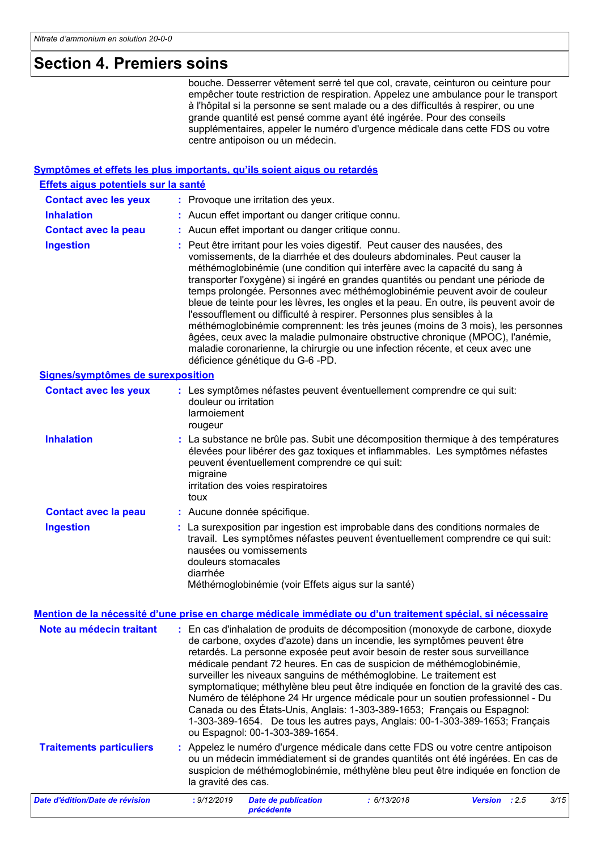### **Section 4. Premiers soins**

bouche. Desserrer vêtement serré tel que col, cravate, ceinturon ou ceinture pour empêcher toute restriction de respiration. Appelez une ambulance pour le transport à l'hôpital si la personne se sent malade ou a des difficultés à respirer, ou une grande quantité est pensé comme ayant été ingérée. Pour des conseils supplémentaires, appeler le numéro d'urgence médicale dans cette FDS ou votre centre antipoison ou un médecin.

#### **Symptômes et effets les plus importants, qu'ils soient aigus ou retardés**

| Effets aigus potentiels sur la santé |                                                                                                                                                                                                                                                                                                                                                                                                                                                                                                                                                                                                                                                                                                                                                                                                                                                                     |
|--------------------------------------|---------------------------------------------------------------------------------------------------------------------------------------------------------------------------------------------------------------------------------------------------------------------------------------------------------------------------------------------------------------------------------------------------------------------------------------------------------------------------------------------------------------------------------------------------------------------------------------------------------------------------------------------------------------------------------------------------------------------------------------------------------------------------------------------------------------------------------------------------------------------|
| <b>Contact avec les yeux</b>         | : Provoque une irritation des yeux.                                                                                                                                                                                                                                                                                                                                                                                                                                                                                                                                                                                                                                                                                                                                                                                                                                 |
| <b>Inhalation</b>                    | : Aucun effet important ou danger critique connu.                                                                                                                                                                                                                                                                                                                                                                                                                                                                                                                                                                                                                                                                                                                                                                                                                   |
| <b>Contact avec la peau</b>          | : Aucun effet important ou danger critique connu.                                                                                                                                                                                                                                                                                                                                                                                                                                                                                                                                                                                                                                                                                                                                                                                                                   |
| <b>Ingestion</b>                     | : Peut être irritant pour les voies digestif. Peut causer des nausées, des<br>vomissements, de la diarrhée et des douleurs abdominales. Peut causer la<br>méthémoglobinémie (une condition qui interfère avec la capacité du sang à<br>transporter l'oxygène) si ingéré en grandes quantités ou pendant une période de<br>temps prolongée. Personnes avec méthémoglobinémie peuvent avoir de couleur<br>bleue de teinte pour les lèvres, les ongles et la peau. En outre, ils peuvent avoir de<br>l'essoufflement ou difficulté à respirer. Personnes plus sensibles à la<br>méthémoglobinémie comprennent: les très jeunes (moins de 3 mois), les personnes<br>âgées, ceux avec la maladie pulmonaire obstructive chronique (MPOC), l'anémie,<br>maladie coronarienne, la chirurgie ou une infection récente, et ceux avec une<br>déficience génétique du G-6 -PD. |
| Signes/symptômes de surexposition    |                                                                                                                                                                                                                                                                                                                                                                                                                                                                                                                                                                                                                                                                                                                                                                                                                                                                     |
| <b>Contact avec les yeux</b>         | : Les symptômes néfastes peuvent éventuellement comprendre ce qui suit:<br>douleur ou irritation<br>larmoiement<br>rougeur                                                                                                                                                                                                                                                                                                                                                                                                                                                                                                                                                                                                                                                                                                                                          |
| <b>Inhalation</b>                    | : La substance ne brûle pas. Subit une décomposition thermique à des températures<br>élevées pour libérer des gaz toxiques et inflammables. Les symptômes néfastes<br>peuvent éventuellement comprendre ce qui suit:<br>migraine<br>irritation des voies respiratoires<br>toux                                                                                                                                                                                                                                                                                                                                                                                                                                                                                                                                                                                      |
| <b>Contact avec la peau</b>          | : Aucune donnée spécifique.                                                                                                                                                                                                                                                                                                                                                                                                                                                                                                                                                                                                                                                                                                                                                                                                                                         |
| <b>Ingestion</b>                     | : La surexposition par ingestion est improbable dans des conditions normales de<br>travail. Les symptômes néfastes peuvent éventuellement comprendre ce qui suit:<br>nausées ou vomissements<br>douleurs stomacales<br>diarrhée<br>Méthémoglobinémie (voir Effets aigus sur la santé)                                                                                                                                                                                                                                                                                                                                                                                                                                                                                                                                                                               |
|                                      | Mention de la nécessité d'une prise en charge médicale immédiate ou d'un traitement spécial, si nécessaire                                                                                                                                                                                                                                                                                                                                                                                                                                                                                                                                                                                                                                                                                                                                                          |
|                                      | Note au médecin traitant : En cas d'inhalation de produits de décomposition (monoxyde de carbone, dioxyde<br>de carbone, oxydes d'azote) dans un incendie, les symptômes peuvent être<br>retardés. La personne exposée peut avoir besoin de rester sous surveillance<br>médicale pendant 72 heures. En cas de suspicion de méthémoglobinémie,<br>surveiller les niveaux sanguins de méthémoglobine. Le traitement est<br>symptomatique; méthylène bleu peut être indiquée en fonction de la gravité des cas.<br>Numéro de téléphone 24 Hr urgence médicale pour un soutien professionnel - Du<br>Canada ou des États-Unis, Anglais: 1-303-389-1653; Français ou Espagnol:<br>1-303-389-1654. De tous les autres pays, Anglais: 00-1-303-389-1653; Français<br>ou Espagnol: 00-1-303-389-1654.                                                                       |
| <b>Traitements particuliers</b>      | Appelez le numéro d'urgence médicale dans cette FDS ou votre centre antipoison<br>ou un médecin immédiatement si de grandes quantités ont été ingérées. En cas de<br>suspicion de méthémoglobinémie, méthylène bleu peut être indiquée en fonction de<br>la gravité des cas.                                                                                                                                                                                                                                                                                                                                                                                                                                                                                                                                                                                        |
| Date d'édition/Date de révision      | : 9/12/2019<br><b>Date de publication</b><br>: 6/13/2018<br>3/15<br>Version<br>: 2.5                                                                                                                                                                                                                                                                                                                                                                                                                                                                                                                                                                                                                                                                                                                                                                                |

*précédente*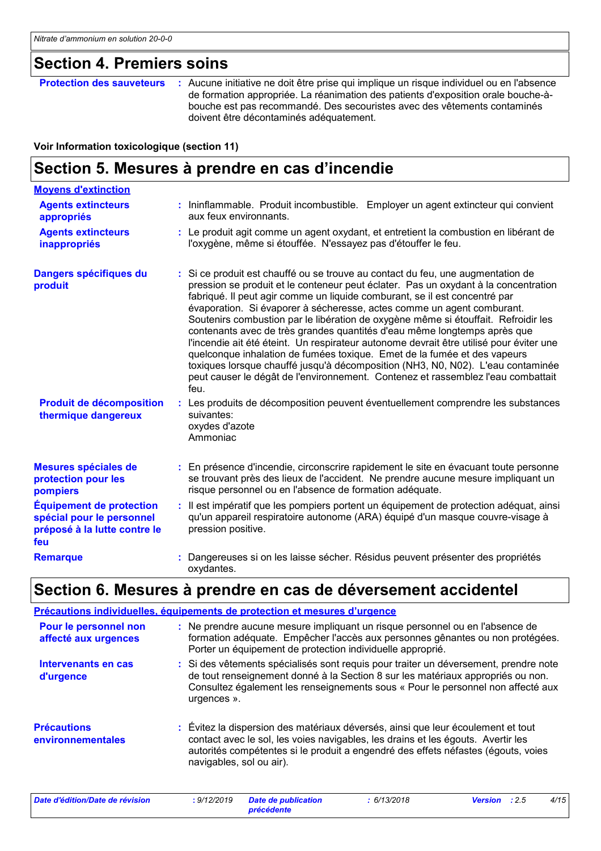### **Section 4. Premiers soins**

**Protection des sauveteurs :** Aucune initiative ne doit être prise qui implique un risque individuel ou en l'absence de formation appropriée. La réanimation des patients d'exposition orale bouche-àbouche est pas recommandé. Des secouristes avec des vêtements contaminés doivent être décontaminés adéquatement.

#### **Voir Information toxicologique (section 11)**

### **Section 5. Mesures à prendre en cas d'incendie**

| <b>Moyens d'extinction</b>                                                                          |                                                                                                                                                                                                                                                                                                                                                                                                                                                                                                                                                                                                                                                                                                                                                                                                                                                        |
|-----------------------------------------------------------------------------------------------------|--------------------------------------------------------------------------------------------------------------------------------------------------------------------------------------------------------------------------------------------------------------------------------------------------------------------------------------------------------------------------------------------------------------------------------------------------------------------------------------------------------------------------------------------------------------------------------------------------------------------------------------------------------------------------------------------------------------------------------------------------------------------------------------------------------------------------------------------------------|
| <b>Agents extincteurs</b><br>appropriés                                                             | : Ininflammable. Produit incombustible. Employer un agent extincteur qui convient<br>aux feux environnants.                                                                                                                                                                                                                                                                                                                                                                                                                                                                                                                                                                                                                                                                                                                                            |
| <b>Agents extincteurs</b><br>inappropriés                                                           | : Le produit agit comme un agent oxydant, et entretient la combustion en libérant de<br>l'oxygène, même si étouffée. N'essayez pas d'étouffer le feu.                                                                                                                                                                                                                                                                                                                                                                                                                                                                                                                                                                                                                                                                                                  |
| Dangers spécifiques du<br>produit                                                                   | : Si ce produit est chauffé ou se trouve au contact du feu, une augmentation de<br>pression se produit et le conteneur peut éclater. Pas un oxydant à la concentration<br>fabriqué. Il peut agir comme un liquide comburant, se il est concentré par<br>évaporation. Si évaporer à sécheresse, actes comme un agent comburant.<br>Soutenirs combustion par le libération de oxygène même si étouffait. Refroidir les<br>contenants avec de très grandes quantités d'eau même longtemps après que<br>l'incendie ait été éteint. Un respirateur autonome devrait être utilisé pour éviter une<br>quelconque inhalation de fumées toxique. Emet de la fumée et des vapeurs<br>toxiques lorsque chauffé jusqu'à décomposition (NH3, N0, N02). L'eau contaminée<br>peut causer le dégât de l'environnement. Contenez et rassemblez l'eau combattait<br>feu. |
| <b>Produit de décomposition</b><br>thermique dangereux                                              | : Les produits de décomposition peuvent éventuellement comprendre les substances<br>suivantes:<br>oxydes d'azote<br>Ammoniac                                                                                                                                                                                                                                                                                                                                                                                                                                                                                                                                                                                                                                                                                                                           |
| Mesures spéciales de<br>protection pour les<br>pompiers                                             | : En présence d'incendie, circonscrire rapidement le site en évacuant toute personne<br>se trouvant près des lieux de l'accident. Ne prendre aucune mesure impliquant un<br>risque personnel ou en l'absence de formation adéquate.                                                                                                                                                                                                                                                                                                                                                                                                                                                                                                                                                                                                                    |
| <b>Équipement de protection</b><br>spécial pour le personnel<br>préposé à la lutte contre le<br>feu | : Il est impératif que les pompiers portent un équipement de protection adéquat, ainsi<br>qu'un appareil respiratoire autonome (ARA) équipé d'un masque couvre-visage à<br>pression positive.                                                                                                                                                                                                                                                                                                                                                                                                                                                                                                                                                                                                                                                          |
| <b>Remarque</b>                                                                                     | : Dangereuses si on les laisse sécher. Résidus peuvent présenter des propriétés<br>oxydantes.                                                                                                                                                                                                                                                                                                                                                                                                                                                                                                                                                                                                                                                                                                                                                          |

### **Section 6. Mesures à prendre en cas de déversement accidentel**

|                                               | Précautions individuelles, équipements de protection et mesures d'urgence                                                                                                                                                                                                             |
|-----------------------------------------------|---------------------------------------------------------------------------------------------------------------------------------------------------------------------------------------------------------------------------------------------------------------------------------------|
| Pour le personnel non<br>affecté aux urgences | : Ne prendre aucune mesure impliquant un risque personnel ou en l'absence de<br>formation adéquate. Empêcher l'accès aux personnes gênantes ou non protégées.<br>Porter un équipement de protection individuelle approprié.                                                           |
| Intervenants en cas<br>d'urgence              | : Si des vêtements spécialisés sont requis pour traiter un déversement, prendre note<br>de tout renseignement donné à la Section 8 sur les matériaux appropriés ou non.<br>Consultez également les renseignements sous « Pour le personnel non affecté aux<br>urgences ».             |
| <b>Précautions</b><br>environnementales       | : Évitez la dispersion des matériaux déversés, ainsi que leur écoulement et tout<br>contact avec le sol, les voies navigables, les drains et les égouts. Avertir les<br>autorités compétentes si le produit a engendré des effets néfastes (égouts, voies<br>navigables, sol ou air). |

| Date d'édition/Date de révision | 9/12/2019 | <b>Date de publication</b> | 6/13/2018 | <b>Version</b> : 2.5 | 4/15 |
|---------------------------------|-----------|----------------------------|-----------|----------------------|------|
|                                 |           | précédente                 |           |                      |      |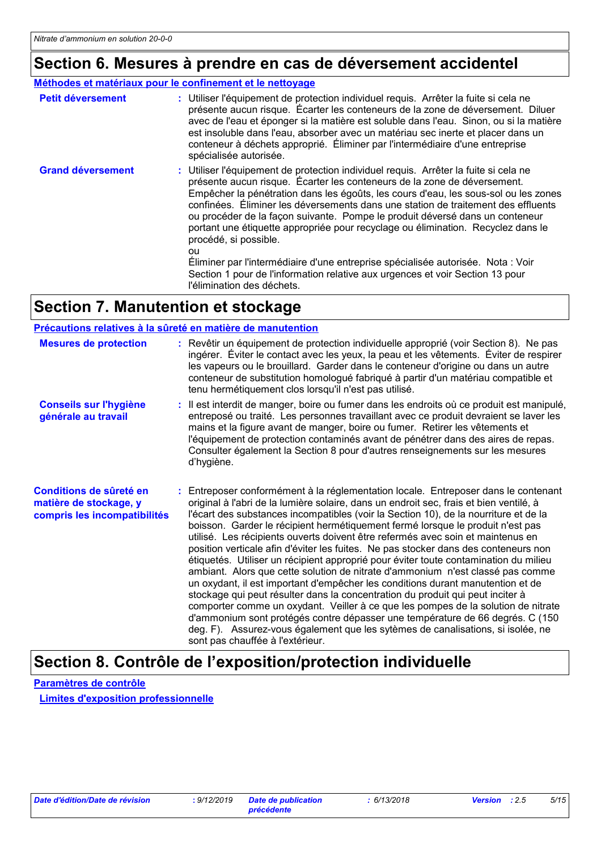## **Section 6. Mesures à prendre en cas de déversement accidentel**

#### **Méthodes et matériaux pour le confinement et le nettoyage**

| <b>Petit déversement</b> | : Utiliser l'équipement de protection individuel requis. Arrêter la fuite si cela ne<br>présente aucun risque. Écarter les conteneurs de la zone de déversement. Diluer<br>avec de l'eau et éponger si la matière est soluble dans l'eau. Sinon, ou si la matière<br>est insoluble dans l'eau, absorber avec un matériau sec inerte et placer dans un<br>conteneur à déchets approprié. Éliminer par l'intermédiaire d'une entreprise<br>spécialisée autorisée.                                                                                                                                                                                                                                                                                    |
|--------------------------|----------------------------------------------------------------------------------------------------------------------------------------------------------------------------------------------------------------------------------------------------------------------------------------------------------------------------------------------------------------------------------------------------------------------------------------------------------------------------------------------------------------------------------------------------------------------------------------------------------------------------------------------------------------------------------------------------------------------------------------------------|
| <b>Grand déversement</b> | : Utiliser l'équipement de protection individuel requis. Arrêter la fuite si cela ne<br>présente aucun risque. Écarter les conteneurs de la zone de déversement.<br>Empêcher la pénétration dans les égoûts, les cours d'eau, les sous-sol ou les zones<br>confinées. Éliminer les déversements dans une station de traitement des effluents<br>ou procéder de la façon suivante. Pompe le produit déversé dans un conteneur<br>portant une étiquette appropriée pour recyclage ou élimination. Recyclez dans le<br>procédé, si possible.<br>ou<br>Éliminer par l'intermédiaire d'une entreprise spécialisée autorisée. Nota : Voir<br>Section 1 pour de l'information relative aux urgences et voir Section 13 pour<br>l'élimination des déchets. |

## **Section 7. Manutention et stockage**

#### **Précautions relatives à la sûreté en matière de manutention**

| <b>Mesures de protection</b>                                                      | : Revêtir un équipement de protection individuelle approprié (voir Section 8). Ne pas<br>ingérer. Eviter le contact avec les yeux, la peau et les vêtements. Éviter de respirer<br>les vapeurs ou le brouillard. Garder dans le conteneur d'origine ou dans un autre<br>conteneur de substitution homologué fabriqué à partir d'un matériau compatible et<br>tenu hermétiquement clos lorsqu'il n'est pas utilisé.                                                                                                                                                                                                                                                                                                                                                                                                                                                                                                                                                                                                                                                                                                                                                           |
|-----------------------------------------------------------------------------------|------------------------------------------------------------------------------------------------------------------------------------------------------------------------------------------------------------------------------------------------------------------------------------------------------------------------------------------------------------------------------------------------------------------------------------------------------------------------------------------------------------------------------------------------------------------------------------------------------------------------------------------------------------------------------------------------------------------------------------------------------------------------------------------------------------------------------------------------------------------------------------------------------------------------------------------------------------------------------------------------------------------------------------------------------------------------------------------------------------------------------------------------------------------------------|
| <b>Conseils sur l'hygiène</b><br>générale au travail                              | : Il est interdit de manger, boire ou fumer dans les endroits où ce produit est manipulé,<br>entreposé ou traité. Les personnes travaillant avec ce produit devraient se laver les<br>mains et la figure avant de manger, boire ou fumer. Retirer les vêtements et<br>l'équipement de protection contaminés avant de pénétrer dans des aires de repas.<br>Consulter également la Section 8 pour d'autres renseignements sur les mesures<br>d'hygiène.                                                                                                                                                                                                                                                                                                                                                                                                                                                                                                                                                                                                                                                                                                                        |
| Conditions de sûreté en<br>matière de stockage, y<br>compris les incompatibilités | : Entreposer conformément à la réglementation locale. Entreposer dans le contenant<br>original à l'abri de la lumière solaire, dans un endroit sec, frais et bien ventilé, à<br>l'écart des substances incompatibles (voir la Section 10), de la nourriture et de la<br>boisson. Garder le récipient hermétiquement fermé lorsque le produit n'est pas<br>utilisé. Les récipients ouverts doivent être refermés avec soin et maintenus en<br>position verticale afin d'éviter les fuites. Ne pas stocker dans des conteneurs non<br>étiquetés. Utiliser un récipient approprié pour éviter toute contamination du milieu<br>ambiant. Alors que cette solution de nitrate d'ammonium n'est classé pas comme<br>un oxydant, il est important d'empêcher les conditions durant manutention et de<br>stockage qui peut résulter dans la concentration du produit qui peut inciter à<br>comporter comme un oxydant. Veiller à ce que les pompes de la solution de nitrate<br>d'ammonium sont protégés contre dépasser une température de 66 degrés. C (150<br>deg. F). Assurez-vous également que les sytèmes de canalisations, si isolée, ne<br>sont pas chauffée à l'extérieur. |

### **Section 8. Contrôle de l'exposition/protection individuelle**

**Paramètres de contrôle**

**Limites d'exposition professionnelle**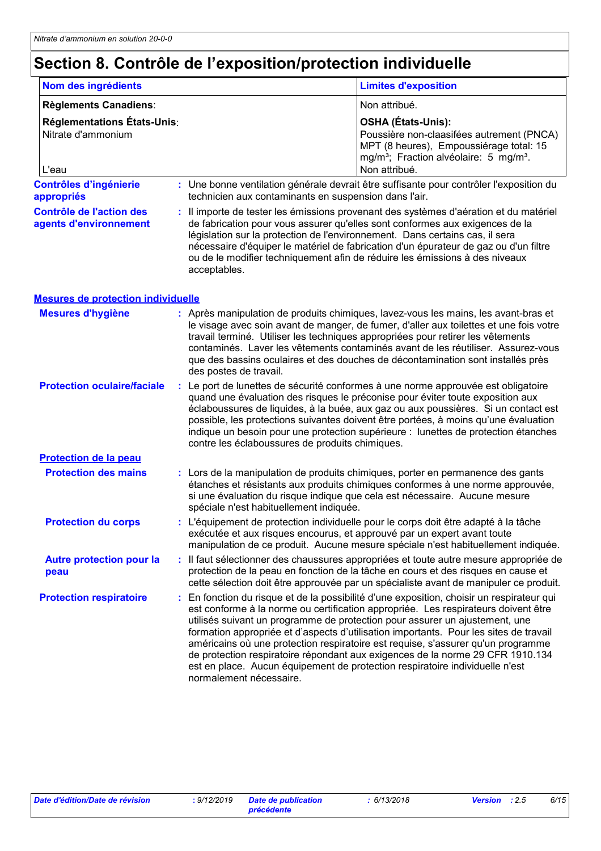# **Section 8. Contrôle de l'exposition/protection individuelle**

| Nom des ingrédients                                        |                                                       | <b>Limites d'exposition</b>                                                                                                                                                                                                                                                                                                                                                                                                                                                                                                                                                                                 |
|------------------------------------------------------------|-------------------------------------------------------|-------------------------------------------------------------------------------------------------------------------------------------------------------------------------------------------------------------------------------------------------------------------------------------------------------------------------------------------------------------------------------------------------------------------------------------------------------------------------------------------------------------------------------------------------------------------------------------------------------------|
| Règlements Canadiens:                                      |                                                       | Non attribué.                                                                                                                                                                                                                                                                                                                                                                                                                                                                                                                                                                                               |
| Réglementations États-Unis:<br>Nitrate d'ammonium<br>L'eau |                                                       | <b>OSHA (États-Unis):</b><br>Poussière non-claasifées autrement (PNCA)<br>MPT (8 heures), Empoussiérage total: 15<br>mg/m <sup>3</sup> ; Fraction alvéolaire: 5 mg/m <sup>3</sup> .<br>Non attribué.                                                                                                                                                                                                                                                                                                                                                                                                        |
| <b>Contrôles d'ingénierie</b><br>appropriés                | technicien aux contaminants en suspension dans l'air. | : Une bonne ventilation générale devrait être suffisante pour contrôler l'exposition du                                                                                                                                                                                                                                                                                                                                                                                                                                                                                                                     |
| <b>Contrôle de l'action des</b><br>agents d'environnement  | acceptables.                                          | Il importe de tester les émissions provenant des systèmes d'aération et du matériel<br>de fabrication pour vous assurer qu'elles sont conformes aux exigences de la<br>législation sur la protection de l'environnement. Dans certains cas, il sera<br>nécessaire d'équiper le matériel de fabrication d'un épurateur de gaz ou d'un filtre<br>ou de le modifier techniquement afin de réduire les émissions à des niveaux                                                                                                                                                                                  |
| <b>Mesures de protection individuelle</b>                  |                                                       |                                                                                                                                                                                                                                                                                                                                                                                                                                                                                                                                                                                                             |
| <b>Mesures d'hygiène</b>                                   | des postes de travail.                                | : Après manipulation de produits chimiques, lavez-vous les mains, les avant-bras et<br>le visage avec soin avant de manger, de fumer, d'aller aux toilettes et une fois votre<br>travail terminé. Utiliser les techniques appropriées pour retirer les vêtements<br>contaminés. Laver les vêtements contaminés avant de les réutiliser. Assurez-vous<br>que des bassins oculaires et des douches de décontamination sont installés près                                                                                                                                                                     |
| <b>Protection oculaire/faciale</b>                         | contre les éclaboussures de produits chimiques.       | : Le port de lunettes de sécurité conformes à une norme approuvée est obligatoire<br>quand une évaluation des risques le préconise pour éviter toute exposition aux<br>éclaboussures de liquides, à la buée, aux gaz ou aux poussières. Si un contact est<br>possible, les protections suivantes doivent être portées, à moins qu'une évaluation<br>indique un besoin pour une protection supérieure : lunettes de protection étanches                                                                                                                                                                      |
| <b>Protection de la peau</b>                               |                                                       |                                                                                                                                                                                                                                                                                                                                                                                                                                                                                                                                                                                                             |
| <b>Protection des mains</b>                                | spéciale n'est habituellement indiquée.               | : Lors de la manipulation de produits chimiques, porter en permanence des gants<br>étanches et résistants aux produits chimiques conformes à une norme approuvée,<br>si une évaluation du risque indique que cela est nécessaire. Aucune mesure                                                                                                                                                                                                                                                                                                                                                             |
| <b>Protection du corps</b>                                 |                                                       | : L'équipement de protection individuelle pour le corps doit être adapté à la tâche<br>exécutée et aux risques encourus, et approuvé par un expert avant toute<br>manipulation de ce produit. Aucune mesure spéciale n'est habituellement indiquée.                                                                                                                                                                                                                                                                                                                                                         |
| <b>Autre protection pour la</b><br>peau                    |                                                       | Il faut sélectionner des chaussures appropriées et toute autre mesure appropriée de<br>protection de la peau en fonction de la tâche en cours et des risques en cause et<br>cette sélection doit être approuvée par un spécialiste avant de manipuler ce produit.                                                                                                                                                                                                                                                                                                                                           |
| <b>Protection respiratoire</b>                             | normalement nécessaire.                               | En fonction du risque et de la possibilité d'une exposition, choisir un respirateur qui<br>est conforme à la norme ou certification appropriée. Les respirateurs doivent être<br>utilisés suivant un programme de protection pour assurer un ajustement, une<br>formation appropriée et d'aspects d'utilisation importants. Pour les sites de travail<br>américains où une protection respiratoire est requise, s'assurer qu'un programme<br>de protection respiratoire répondant aux exigences de la norme 29 CFR 1910.134<br>est en place. Aucun équipement de protection respiratoire individuelle n'est |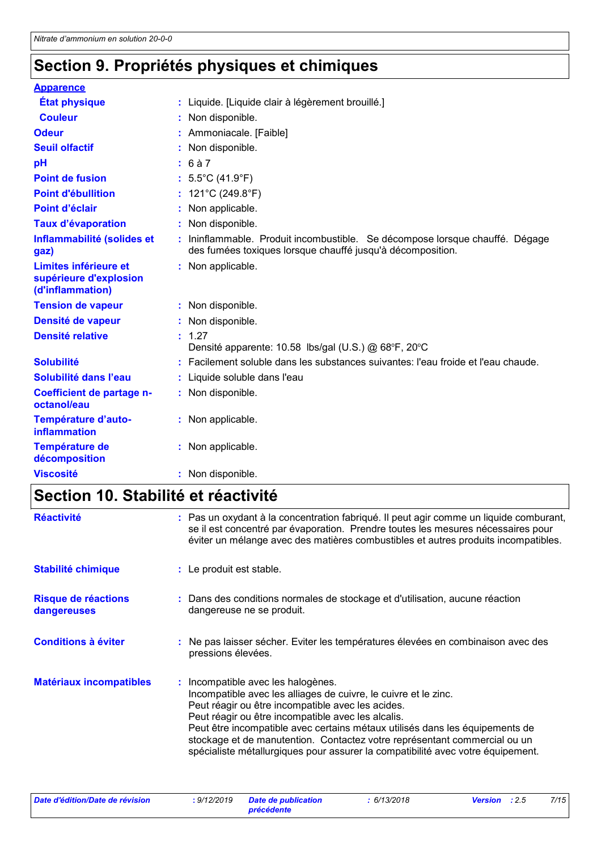## **Section 9. Propriétés physiques et chimiques**

| <b>Apparence</b>                                                    |                                                                                                                                          |
|---------------------------------------------------------------------|------------------------------------------------------------------------------------------------------------------------------------------|
| <b>État physique</b>                                                | Liquide. [Liquide clair à légèrement brouillé.]                                                                                          |
| <b>Couleur</b>                                                      | Non disponible.                                                                                                                          |
| <b>Odeur</b>                                                        | Ammoniacale. [Faible]                                                                                                                    |
| <b>Seuil olfactif</b>                                               | Non disponible.                                                                                                                          |
| pH                                                                  | : 6a7                                                                                                                                    |
| <b>Point de fusion</b>                                              | : $5.5^{\circ}$ C (41.9 $^{\circ}$ F)                                                                                                    |
| <b>Point d'ébullition</b>                                           | 121°C (249.8°F)                                                                                                                          |
| Point d'éclair                                                      | Non applicable.                                                                                                                          |
| <b>Taux d'évaporation</b>                                           | : Non disponible.                                                                                                                        |
| Inflammabilité (solides et<br>gaz)                                  | Ininflammable. Produit incombustible. Se décompose lorsque chauffé. Dégage<br>des fumées toxiques lorsque chauffé jusqu'à décomposition. |
| Limites inférieure et<br>supérieure d'explosion<br>(d'inflammation) | Non applicable.                                                                                                                          |
| <b>Tension de vapeur</b>                                            | Non disponible.                                                                                                                          |
| Densité de vapeur                                                   | : Non disponible.                                                                                                                        |
| <b>Densité relative</b>                                             | : 1.27<br>Densité apparente: 10.58 lbs/gal (U.S.) @ 68°F, 20°C                                                                           |
| <b>Solubilité</b>                                                   | Facilement soluble dans les substances suivantes: l'eau froide et l'eau chaude.                                                          |
| Solubilité dans l'eau                                               | Liquide soluble dans l'eau                                                                                                               |
| Coefficient de partage n-<br>octanol/eau                            | : Non disponible.                                                                                                                        |
| Température d'auto-<br>inflammation                                 | : Non applicable.                                                                                                                        |
| Température de<br>décomposition                                     | Non applicable.                                                                                                                          |
| <b>Viscosité</b>                                                    | Non disponible.                                                                                                                          |

# **Section 10. Stabilité et réactivité**

| <b>Réactivité</b>                  | : Pas un oxydant à la concentration fabriqué. Il peut agir comme un liquide comburant,<br>se il est concentré par évaporation. Prendre toutes les mesures nécessaires pour<br>éviter un mélange avec des matières combustibles et autres produits incompatibles.                                                                                                                                                                                                 |
|------------------------------------|------------------------------------------------------------------------------------------------------------------------------------------------------------------------------------------------------------------------------------------------------------------------------------------------------------------------------------------------------------------------------------------------------------------------------------------------------------------|
| Stabilité chimique                 | : Le produit est stable.                                                                                                                                                                                                                                                                                                                                                                                                                                         |
| Risque de réactions<br>dangereuses | : Dans des conditions normales de stockage et d'utilisation, aucune réaction<br>dangereuse ne se produit.                                                                                                                                                                                                                                                                                                                                                        |
| <b>Conditions à éviter</b>         | : Ne pas laisser sécher. Eviter les températures élevées en combinaison avec des<br>pressions élevées.                                                                                                                                                                                                                                                                                                                                                           |
| <b>Matériaux incompatibles</b>     | : Incompatible avec les halogènes.<br>Incompatible avec les alliages de cuivre, le cuivre et le zinc.<br>Peut réagir ou être incompatible avec les acides.<br>Peut réagir ou être incompatible avec les alcalis.<br>Peut être incompatible avec certains métaux utilisés dans les équipements de<br>stockage et de manutention. Contactez votre représentant commercial ou un<br>spécialiste métallurgiques pour assurer la compatibilité avec votre équipement. |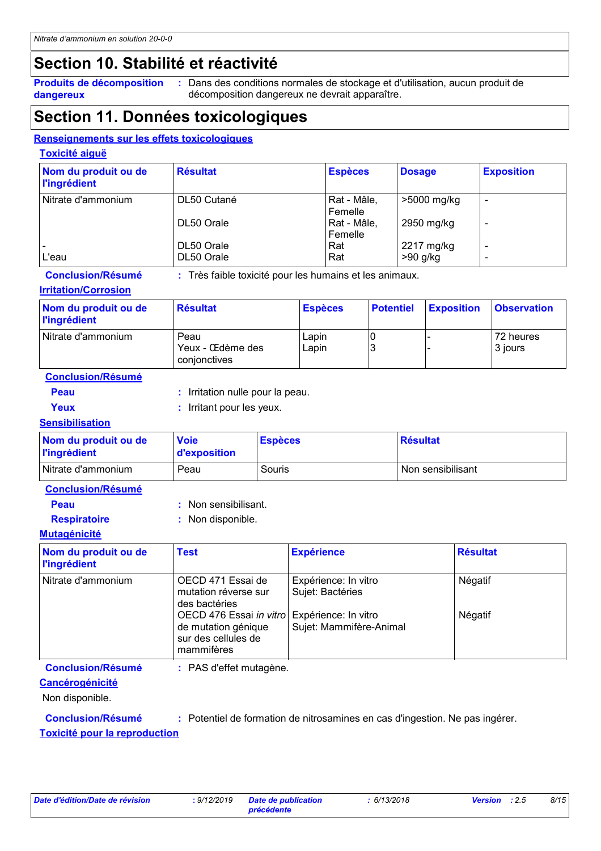## **Section 10. Stabilité et réactivité**

**dangereux**

**Produits de décomposition** : Dans des conditions normales de stockage et d'utilisation, aucun produit de décomposition dangereux ne devrait apparaître.

### **Section 11. Données toxicologiques**

#### **Renseignements sur les effets toxicologiques**

#### **Toxicité aiguë**

| Nom du produit ou de<br><b>l'ingrédient</b> | <b>Résultat</b> | <b>Espèces</b>         | <b>Dosage</b> | <b>Exposition</b> |
|---------------------------------------------|-----------------|------------------------|---------------|-------------------|
| Nitrate d'ammonium                          | DL50 Cutané     | Rat - Mâle,<br>Femelle | >5000 mg/kg   |                   |
|                                             | DL50 Orale      | Rat - Mâle,<br>Femelle | 2950 mg/kg    |                   |
|                                             | DL50 Orale      | Rat                    | 2217 mg/kg    |                   |
| L'eau                                       | DL50 Orale      | Rat                    | $>90$ g/kg    |                   |

**Conclusion/Résumé :** Très faible toxicité pour les humains et les animaux.

#### **Irritation/Corrosion**

| Nom du produit ou de<br><b>l'ingrédient</b> | <b>Résultat</b>                          | <b>Espèces</b> | <b>Potentiel</b> | <b>Exposition</b> | <b>Observation</b>   |
|---------------------------------------------|------------------------------------------|----------------|------------------|-------------------|----------------------|
| Nitrate d'ammonium                          | Peau<br>Yeux - Œdème des<br>conionctives | Lapin<br>Lapin | IO               |                   | 72 heures<br>3 jours |

**Conclusion/Résumé**

**Peau :** Irritation nulle pour la peau.

- 
- **Yeux :** Irritant pour les yeux.

#### **Sensibilisation**

| Nom du produit ou de<br><b>l'ingrédient</b> | <b>Voie</b><br>d'exposition | <b>Espèces</b> | <b>Résultat</b>   |
|---------------------------------------------|-----------------------------|----------------|-------------------|
| Nitrate d'ammonium                          | Peau                        | Souris         | Non sensibilisant |

- **Peau :** Non sensibilisant.
- 
- **Respiratoire :** Non disponible.

#### **Mutagénicité**

| Nom du produit ou de<br><b>l'ingrédient</b> | <b>Test</b>                                                                                                                                              | <b>Expérience</b>                                                   | <b>Résultat</b>    |
|---------------------------------------------|----------------------------------------------------------------------------------------------------------------------------------------------------------|---------------------------------------------------------------------|--------------------|
| Nitrate d'ammonium                          | OECD 471 Essai de<br>mutation réverse sur<br>des bactéries<br>OECD 476 Essai in vitro Expérience: In vitro<br>de mutation génique<br>sur des cellules de | Expérience: In vitro<br>Sujet: Bactéries<br>Sujet: Mammifère-Animal | Négatif<br>Négatif |
|                                             | mammifères                                                                                                                                               |                                                                     |                    |

**Conclusion/Résumé :** PAS d'effet mutagène.

#### **Cancérogénicité**

Non disponible.

**Conclusion/Résumé :** Potentiel de formation de nitrosamines en cas d'ingestion. Ne pas ingérer.

#### **Toxicité pour la reproduction**

*Date d'édition/Date de révision* **:** *9/12/2019 Date de publication*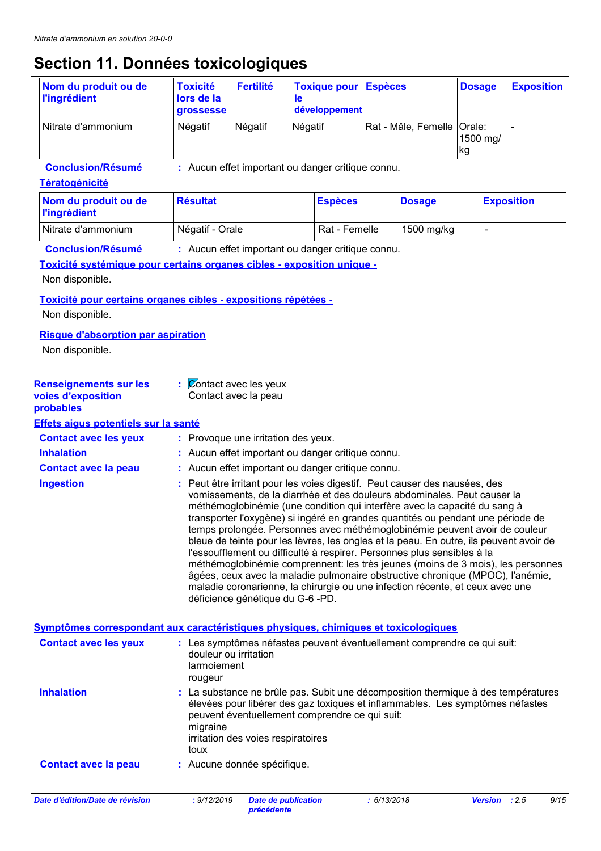## **Section 11. Données toxicologiques**

| Nom du produit ou de<br><b>l'ingrédient</b> | <b>Toxicité</b><br>lors de la<br>grossesse | Fertilité | <b>Toxique pour Espèces</b><br>développement |                              | <b>Dosage</b>   | <b>Exposition</b> |
|---------------------------------------------|--------------------------------------------|-----------|----------------------------------------------|------------------------------|-----------------|-------------------|
| Nitrate d'ammonium                          | Négatif                                    | Négatif   | Négatif                                      | Rat - Mâle, Femelle   Orale: | 1500 mg/<br> kg |                   |

**Conclusion/Résumé :** Aucun effet important ou danger critique connu.

#### **Tératogénicité**

| Nom du produit ou de<br><b>l'ingrédient</b> | <b>Résultat</b> | <b>Espèces</b> | <b>Dosage</b> | <b>Exposition</b> |
|---------------------------------------------|-----------------|----------------|---------------|-------------------|
| Nitrate d'ammonium                          | Négatif - Orale | Rat - Femelle  | 1500 mg/kg    |                   |

**Conclusion/Résumé :** Aucun effet important ou danger critique connu.

#### **Toxicité systémique pour certains organes cibles - exposition unique -**

#### Non disponible.

#### **Toxicité pour certains organes cibles - expositions répétées -**

Non disponible.

#### **Risque d'absorption par aspiration**

Non disponible.

| <b>Renseignements sur les</b>        | : Contact avec les yeux                                                                                                                                                                                                                                                                                                                                                                                                                                                                                                                                                                                                                                                                                                                                                                                                                                             |
|--------------------------------------|---------------------------------------------------------------------------------------------------------------------------------------------------------------------------------------------------------------------------------------------------------------------------------------------------------------------------------------------------------------------------------------------------------------------------------------------------------------------------------------------------------------------------------------------------------------------------------------------------------------------------------------------------------------------------------------------------------------------------------------------------------------------------------------------------------------------------------------------------------------------|
| voies d'exposition<br>probables      | Contact avec la peau                                                                                                                                                                                                                                                                                                                                                                                                                                                                                                                                                                                                                                                                                                                                                                                                                                                |
| Effets aigus potentiels sur la santé |                                                                                                                                                                                                                                                                                                                                                                                                                                                                                                                                                                                                                                                                                                                                                                                                                                                                     |
| <b>Contact avec les yeux</b>         | : Provoque une irritation des yeux.                                                                                                                                                                                                                                                                                                                                                                                                                                                                                                                                                                                                                                                                                                                                                                                                                                 |
| <b>Inhalation</b>                    | : Aucun effet important ou danger critique connu.                                                                                                                                                                                                                                                                                                                                                                                                                                                                                                                                                                                                                                                                                                                                                                                                                   |
| <b>Contact avec la peau</b>          | : Aucun effet important ou danger critique connu.                                                                                                                                                                                                                                                                                                                                                                                                                                                                                                                                                                                                                                                                                                                                                                                                                   |
| <b>Ingestion</b>                     | : Peut être irritant pour les voies digestif. Peut causer des nausées, des<br>vomissements, de la diarrhée et des douleurs abdominales. Peut causer la<br>méthémoglobinémie (une condition qui interfère avec la capacité du sang à<br>transporter l'oxygène) si ingéré en grandes quantités ou pendant une période de<br>temps prolongée. Personnes avec méthémoglobinémie peuvent avoir de couleur<br>bleue de teinte pour les lèvres, les ongles et la peau. En outre, ils peuvent avoir de<br>l'essoufflement ou difficulté à respirer. Personnes plus sensibles à la<br>méthémoglobinémie comprennent: les très jeunes (moins de 3 mois), les personnes<br>âgées, ceux avec la maladie pulmonaire obstructive chronique (MPOC), l'anémie,<br>maladie coronarienne, la chirurgie ou une infection récente, et ceux avec une<br>déficience génétique du G-6 -PD. |
|                                      | Symptômes correspondant aux caractéristiques physiques, chimiques et toxicologiques                                                                                                                                                                                                                                                                                                                                                                                                                                                                                                                                                                                                                                                                                                                                                                                 |
| <b>Contact avec les yeux</b>         | : Les symptômes néfastes peuvent éventuellement comprendre ce qui suit:<br>douleur ou irritation<br>larmoiement<br>rougeur                                                                                                                                                                                                                                                                                                                                                                                                                                                                                                                                                                                                                                                                                                                                          |
| <b>Inhalation</b>                    | : La substance ne brûle pas. Subit une décomposition thermique à des températures<br>élevées pour libérer des gaz toxiques et inflammables. Les symptômes néfastes<br>peuvent éventuellement comprendre ce qui suit:<br>migraine<br>irritation des voies respiratoires<br>toux                                                                                                                                                                                                                                                                                                                                                                                                                                                                                                                                                                                      |
| <b>Contact avec la peau</b>          | : Aucune donnée spécifique.                                                                                                                                                                                                                                                                                                                                                                                                                                                                                                                                                                                                                                                                                                                                                                                                                                         |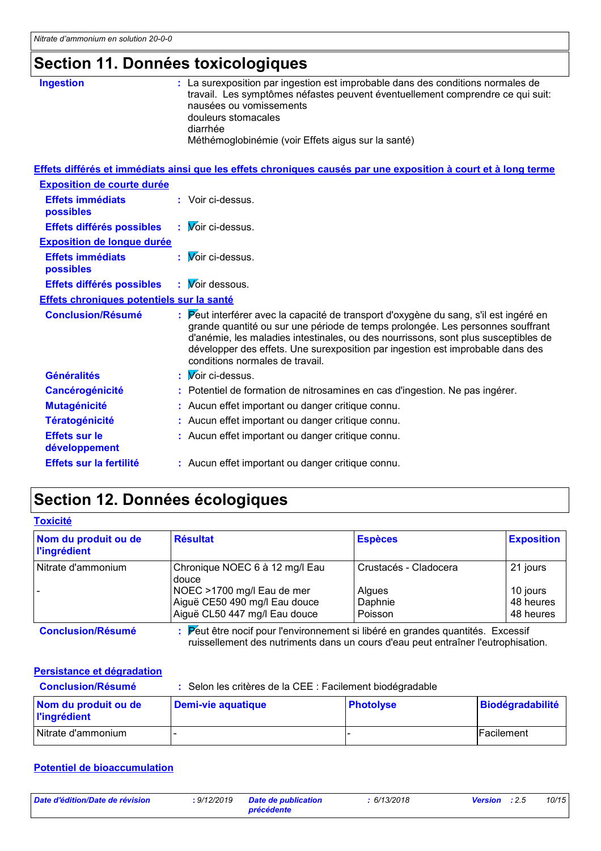# **Section 11. Données toxicologiques**

| <b>Ingestion</b> | : La surexposition par ingestion est improbable dans des conditions normales de<br>travail. Les symptômes néfastes peuvent éventuellement comprendre ce qui suit:<br>nausées ou vomissements<br>douleurs stomacales<br>diarrhée<br>Méthémoglobinémie (voir Effets aigus sur la santé) |
|------------------|---------------------------------------------------------------------------------------------------------------------------------------------------------------------------------------------------------------------------------------------------------------------------------------|
|                  |                                                                                                                                                                                                                                                                                       |

|                                           | Effets différés et immédiats ainsi que les effets chroniques causés par une exposition à court et à long terme                                                                                                                                                                                                                                                                     |
|-------------------------------------------|------------------------------------------------------------------------------------------------------------------------------------------------------------------------------------------------------------------------------------------------------------------------------------------------------------------------------------------------------------------------------------|
| <b>Exposition de courte durée</b>         |                                                                                                                                                                                                                                                                                                                                                                                    |
| <b>Effets immédiats</b><br>possibles      | : Voir ci-dessus.                                                                                                                                                                                                                                                                                                                                                                  |
| Effets différés possibles                 | : Voir ci-dessus.                                                                                                                                                                                                                                                                                                                                                                  |
| <b>Exposition de longue durée</b>         |                                                                                                                                                                                                                                                                                                                                                                                    |
| <b>Effets immédiats</b><br>possibles      | : <i>V</i> oir ci-dessus.                                                                                                                                                                                                                                                                                                                                                          |
| Effets différés possibles                 | $\mathbf{W}$ Woir dessous.                                                                                                                                                                                                                                                                                                                                                         |
| Effets chroniques potentiels sur la santé |                                                                                                                                                                                                                                                                                                                                                                                    |
| <b>Conclusion/Résumé</b>                  | : Peut interférer avec la capacité de transport d'oxygène du sang, s'il est ingéré en<br>grande quantité ou sur une période de temps prolongée. Les personnes souffrant<br>d'anémie, les maladies intestinales, ou des nourrissons, sont plus susceptibles de<br>développer des effets. Une surexposition par ingestion est improbable dans des<br>conditions normales de travail. |
| <b>Généralités</b>                        | : <i>V</i> oir ci-dessus.                                                                                                                                                                                                                                                                                                                                                          |
| Cancérogénicité                           | : Potentiel de formation de nitrosamines en cas d'ingestion. Ne pas ingérer.                                                                                                                                                                                                                                                                                                       |
| <b>Mutagénicité</b>                       | : Aucun effet important ou danger critique connu.                                                                                                                                                                                                                                                                                                                                  |
| <b>Tératogénicité</b>                     | : Aucun effet important ou danger critique connu.                                                                                                                                                                                                                                                                                                                                  |
| <b>Effets sur le</b><br>développement     | : Aucun effet important ou danger critique connu.                                                                                                                                                                                                                                                                                                                                  |
| Effets sur la fertilité                   | : Aucun effet important ou danger critique connu.                                                                                                                                                                                                                                                                                                                                  |

## **Section 12. Données écologiques**

| Nom du produit ou de<br><b>l'ingrédient</b> | <b>Résultat</b>                                                                     | <b>Espèces</b>        | <b>Exposition</b> |
|---------------------------------------------|-------------------------------------------------------------------------------------|-----------------------|-------------------|
| Nitrate d'ammonium                          | Chronique NOEC 6 à 12 mg/l Eau<br>douce                                             | Crustacés - Cladocera | 21 jours          |
|                                             | NOEC >1700 mg/l Eau de mer                                                          | <b>Algues</b>         | 10 jours          |
|                                             | Aiguë CE50 490 mg/l Eau douce                                                       | Daphnie               | 48 heures         |
|                                             | Aiguë CL50 447 mg/l Eau douce                                                       | Poisson               | 48 heures         |
| <b>Conclusion/Résumé</b>                    | Peut être nocif pour l'environnement si libéré en grandes quantités. Excessif<br>٠. |                       |                   |

ruissellement des nutriments dans un cours d'eau peut entraîner l'eutrophisation.

#### **Persistance et dégradation**

| <b>Conclusion/Résumé</b>                    | : Selon les critères de la CEE : Facilement biodégradable |                  |                    |  |  |
|---------------------------------------------|-----------------------------------------------------------|------------------|--------------------|--|--|
| Nom du produit ou de<br><b>l'ingrédient</b> | Demi-vie aquatique                                        | <b>Photolyse</b> | Biodégradabilité   |  |  |
| Nitrate d'ammonium                          |                                                           |                  | <b>IFacilement</b> |  |  |

#### **Potentiel de bioaccumulation**

| Date d'édition/Date de révision | : 9/12/2019 | <b>Date de publication</b> | 6/13/2018 | <b>Version</b> : 2.5 | 10/15 |
|---------------------------------|-------------|----------------------------|-----------|----------------------|-------|
|                                 |             | précédente                 |           |                      |       |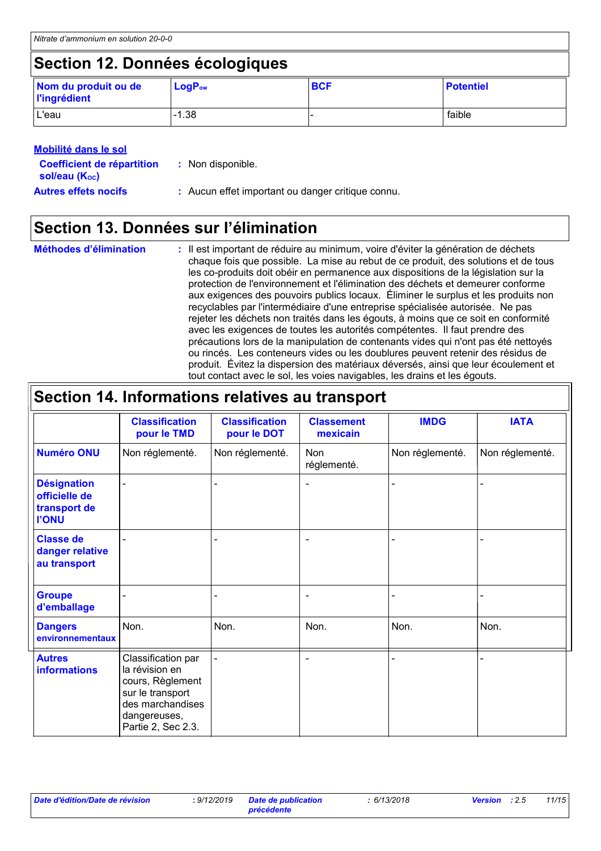## **Section 12. Données écologiques**

| Nom du produit ou de<br><b>l'ingrédient</b> | $LogP_{ow}$ | <b>BCF</b> | <b>Potentiel</b> |
|---------------------------------------------|-------------|------------|------------------|
| L'eau                                       | $-1.38$     |            | faible           |

| <b>Mobilité dans le sol</b>                                     |                                                   |
|-----------------------------------------------------------------|---------------------------------------------------|
| <b>Coefficient de répartition</b><br>sol/eau (K <sub>oc</sub> ) | : Non disponible.                                 |
| <b>Autres effets nocifs</b>                                     | : Aucun effet important ou danger critique connu. |

## **Section 13. Données sur l'élimination**

| <b>Méthodes d'élimination</b> | : Il est important de réduire au minimum, voire d'éviter la génération de déchets<br>chaque fois que possible. La mise au rebut de ce produit, des solutions et de tous<br>les co-produits doit obéir en permanence aux dispositions de la législation sur la<br>protection de l'environnement et l'élimination des déchets et demeurer conforme<br>aux exigences des pouvoirs publics locaux. Eliminer le surplus et les produits non<br>recyclables par l'intermédiaire d'une entreprise spécialisée autorisée. Ne pas<br>rejeter les déchets non traités dans les égouts, à moins que ce soit en conformité<br>avec les exigences de toutes les autorités compétentes. Il faut prendre des<br>précautions lors de la manipulation de contenants vides qui n'ont pas été nettoyés<br>ou rincés. Les conteneurs vides ou les doublures peuvent retenir des résidus de<br>produit. Évitez la dispersion des matériaux déversés, ainsi que leur écoulement et |
|-------------------------------|--------------------------------------------------------------------------------------------------------------------------------------------------------------------------------------------------------------------------------------------------------------------------------------------------------------------------------------------------------------------------------------------------------------------------------------------------------------------------------------------------------------------------------------------------------------------------------------------------------------------------------------------------------------------------------------------------------------------------------------------------------------------------------------------------------------------------------------------------------------------------------------------------------------------------------------------------------------|
|                               | tout contact avec le sol, les voies navigables, les drains et les égouts.                                                                                                                                                                                                                                                                                                                                                                                                                                                                                                                                                                                                                                                                                                                                                                                                                                                                                    |

| Section 14. Informations relatives au transport                     |                                                                                                                                        |                                      |                               |                 |                 |
|---------------------------------------------------------------------|----------------------------------------------------------------------------------------------------------------------------------------|--------------------------------------|-------------------------------|-----------------|-----------------|
|                                                                     | <b>Classification</b><br>pour le TMD                                                                                                   | <b>Classification</b><br>pour le DOT | <b>Classement</b><br>mexicain | <b>IMDG</b>     | <b>IATA</b>     |
| <b>Numéro ONU</b>                                                   | Non réglementé.                                                                                                                        | Non réglementé.                      | Non<br>réglementé.            | Non réglementé. | Non réglementé. |
| <b>Désignation</b><br>officielle de<br>transport de<br><b>I'ONU</b> |                                                                                                                                        |                                      | $\overline{\phantom{0}}$      |                 |                 |
| <b>Classe de</b><br>danger relative<br>au transport                 |                                                                                                                                        |                                      |                               |                 |                 |
| <b>Groupe</b><br>d'emballage                                        |                                                                                                                                        |                                      | $\overline{\phantom{a}}$      |                 |                 |
| <b>Dangers</b><br>environnementaux                                  | Non.                                                                                                                                   | Non.                                 | Non.                          | Non.            | Non.            |
| <b>Autres</b><br><b>informations</b>                                | Classification par<br>la révision en<br>cours, Règlement<br>sur le transport<br>des marchandises<br>dangereuses,<br>Partie 2, Sec 2.3. |                                      | $\overline{\phantom{0}}$      |                 |                 |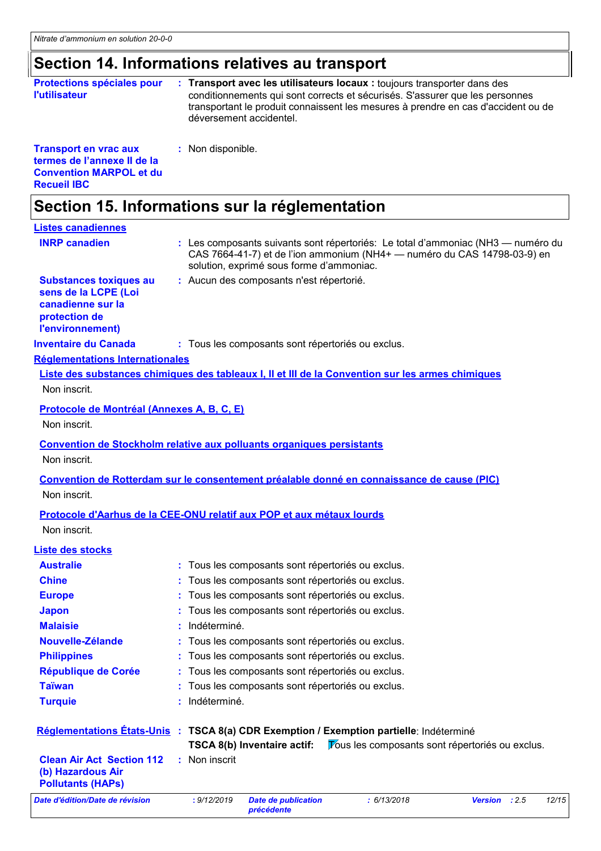**Recueil IBC**

# **Section 14. Informations relatives au transport**

| <b>Protections spéciales pour</b><br><b>l'utilisateur</b>                                     | Transport avec les utilisateurs locaux : toujours transporter dans des<br>conditionnements qui sont corrects et sécurisés. S'assurer que les personnes<br>transportant le produit connaissent les mesures à prendre en cas d'accident ou de<br>déversement accidentel. |
|-----------------------------------------------------------------------------------------------|------------------------------------------------------------------------------------------------------------------------------------------------------------------------------------------------------------------------------------------------------------------------|
| <b>Transport en vrac aux</b><br>termes de l'annexe II de la<br><b>Convention MARPOL et du</b> | : Non disponible.                                                                                                                                                                                                                                                      |

### **Section 15. Informations sur la réglementation**

| <b>Listes canadiennes</b>                                                                                       |                                                                                                                                                                                                          |
|-----------------------------------------------------------------------------------------------------------------|----------------------------------------------------------------------------------------------------------------------------------------------------------------------------------------------------------|
| <b>INRP canadien</b>                                                                                            | : Les composants suivants sont répertoriés: Le total d'ammoniac (NH3 — numéro du<br>CAS 7664-41-7) et de l'ion ammonium (NH4+ — numéro du CAS 14798-03-9) en<br>solution, exprimé sous forme d'ammoniac. |
| <b>Substances toxiques au</b><br>sens de la LCPE (Loi<br>canadienne sur la<br>protection de<br>l'environnement) | : Aucun des composants n'est répertorié.                                                                                                                                                                 |
| <b>Inventaire du Canada</b>                                                                                     | : Tous les composants sont répertoriés ou exclus.                                                                                                                                                        |
| <b>Réglementations Internationales</b>                                                                          |                                                                                                                                                                                                          |
| Non inscrit.                                                                                                    | Liste des substances chimiques des tableaux I, II et III de la Convention sur les armes chimiques                                                                                                        |
| Protocole de Montréal (Annexes A, B, C, E)<br>Non inscrit.                                                      |                                                                                                                                                                                                          |
| Non inscrit.                                                                                                    | Convention de Stockholm relative aux polluants organiques persistants                                                                                                                                    |
| Non inscrit.                                                                                                    | Convention de Rotterdam sur le consentement préalable donné en connaissance de cause (PIC)                                                                                                               |
|                                                                                                                 | Protocole d'Aarhus de la CEE-ONU relatif aux POP et aux métaux lourds                                                                                                                                    |
| Non inscrit.                                                                                                    |                                                                                                                                                                                                          |
| <b>Liste des stocks</b>                                                                                         |                                                                                                                                                                                                          |
| <b>Australie</b>                                                                                                | : Tous les composants sont répertoriés ou exclus.                                                                                                                                                        |
| <b>Chine</b>                                                                                                    | : Tous les composants sont répertoriés ou exclus.                                                                                                                                                        |
| <b>Europe</b>                                                                                                   | : Tous les composants sont répertoriés ou exclus.                                                                                                                                                        |
| <b>Japon</b>                                                                                                    | : Tous les composants sont répertoriés ou exclus.                                                                                                                                                        |
| <b>Malaisie</b>                                                                                                 | Indéterminé.                                                                                                                                                                                             |
| Nouvelle-Zélande                                                                                                | : Tous les composants sont répertoriés ou exclus.                                                                                                                                                        |
| <b>Philippines</b>                                                                                              | : Tous les composants sont répertoriés ou exclus.                                                                                                                                                        |
| République de Corée                                                                                             | Tous les composants sont répertoriés ou exclus.                                                                                                                                                          |
| <b>Taïwan</b>                                                                                                   | Tous les composants sont répertoriés ou exclus.                                                                                                                                                          |
| <b>Turquie</b>                                                                                                  | Indéterminé.                                                                                                                                                                                             |
|                                                                                                                 | Réglementations Etats-Unis : TSCA 8(a) CDR Exemption / Exemption partielle: Indéterminé<br>TSCA 8(b) Inventaire actif:<br><b>Fous les composants sont répertoriés ou exclus.</b>                         |
| <b>Clean Air Act Section 112</b><br>(b) Hazardous Air<br><b>Pollutants (HAPs)</b>                               | Non inscrit                                                                                                                                                                                              |
| Date d'édition/Date de révision                                                                                 | : 9/12/2019<br><b>Date de publication</b><br>: 6/13/2018<br>12/15<br>Version : 2.5<br>précédente                                                                                                         |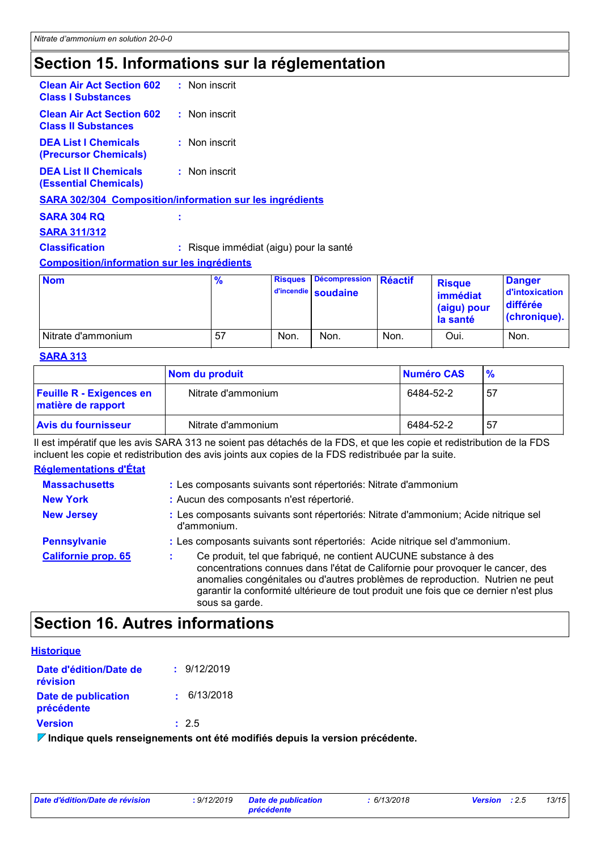## **Section 15. Informations sur la réglementation**

| <b>Clean Air Act Section 602</b><br>: Non inscrit<br>: Non inscrit<br>: Non inscrit<br>$:$ Non inscrit<br><b>SARA 302/304 Composition/information sur les ingrédients</b><br>I<br>: Risque immédiat (aigu) pour la santé<br><b>Composition/information sur les ingrédients</b> |                                                                |  |
|--------------------------------------------------------------------------------------------------------------------------------------------------------------------------------------------------------------------------------------------------------------------------------|----------------------------------------------------------------|--|
|                                                                                                                                                                                                                                                                                | <b>Class I Substances</b>                                      |  |
|                                                                                                                                                                                                                                                                                | <b>Clean Air Act Section 602</b><br><b>Class II Substances</b> |  |
|                                                                                                                                                                                                                                                                                | <b>DEA List I Chemicals</b><br>(Precursor Chemicals)           |  |
|                                                                                                                                                                                                                                                                                | <b>DEA List II Chemicals</b><br>(Essential Chemicals)          |  |
|                                                                                                                                                                                                                                                                                |                                                                |  |
|                                                                                                                                                                                                                                                                                | <b>SARA 304 RQ</b>                                             |  |
|                                                                                                                                                                                                                                                                                | <b>SARA 311/312</b>                                            |  |
|                                                                                                                                                                                                                                                                                | <b>Classification</b>                                          |  |
|                                                                                                                                                                                                                                                                                |                                                                |  |

| <b>Nom</b>         | $\frac{9}{6}$ | <b>Risques</b> | Décompression Réactif<br>d'incendie soudaine |      | <b>Risque</b><br>immédiat<br>(aigu) pour<br>la santé | <b>Danger</b><br>d'intoxication<br><b>différée</b><br>(chronique). |
|--------------------|---------------|----------------|----------------------------------------------|------|------------------------------------------------------|--------------------------------------------------------------------|
| Nitrate d'ammonium | 57            | Non.           | Non.                                         | Non. | Oui.                                                 | Non.                                                               |

#### **SARA 313**

|                                                       | Nom du produit     | Numéro CAS | $\frac{9}{6}$ |
|-------------------------------------------------------|--------------------|------------|---------------|
| <b>Feuille R - Exigences en</b><br>matière de rapport | Nitrate d'ammonium | 6484-52-2  | -57           |
| <b>Avis du fournisseur</b>                            | Nitrate d'ammonium | 6484-52-2  | -57           |

Il est impératif que les avis SARA 313 ne soient pas détachés de la FDS, et que les copie et redistribution de la FDS incluent les copie et redistribution des avis joints aux copies de la FDS redistribuée par la suite.

#### **Réglementations d'État**

| <b>Massachusetts</b>       | : Les composants suivants sont répertoriés: Nitrate d'ammonium                                                                                                                                                                                                                                                                                |  |  |
|----------------------------|-----------------------------------------------------------------------------------------------------------------------------------------------------------------------------------------------------------------------------------------------------------------------------------------------------------------------------------------------|--|--|
| <b>New York</b>            | : Aucun des composants n'est répertorié.                                                                                                                                                                                                                                                                                                      |  |  |
| <b>New Jersey</b>          | : Les composants suivants sont répertoriés: Nitrate d'ammonium; Acide nitrique sel<br>d'ammonium.                                                                                                                                                                                                                                             |  |  |
| <b>Pennsylvanie</b>        | : Les composants suivants sont répertoriés: Acide nitrique sel d'ammonium.                                                                                                                                                                                                                                                                    |  |  |
| <b>Californie prop. 65</b> | Ce produit, tel que fabriqué, ne contient AUCUNE substance à des<br>concentrations connues dans l'état de Californie pour provoquer le cancer, des<br>anomalies congénitales ou d'autres problèmes de reproduction. Nutrien ne peut<br>garantir la conformité ultérieure de tout produit une fois que ce dernier n'est plus<br>sous sa garde. |  |  |

## **Section 16. Autres informations**

| <b>Historique</b>                  |             |
|------------------------------------|-------------|
| Date d'édition/Date de<br>révision | : 9/12/2019 |
| Date de publication<br>précédente  | : 6/13/2018 |
| <b>Version</b>                     | : 2.5       |

**Indique quels renseignements ont été modifiés depuis la version précédente.**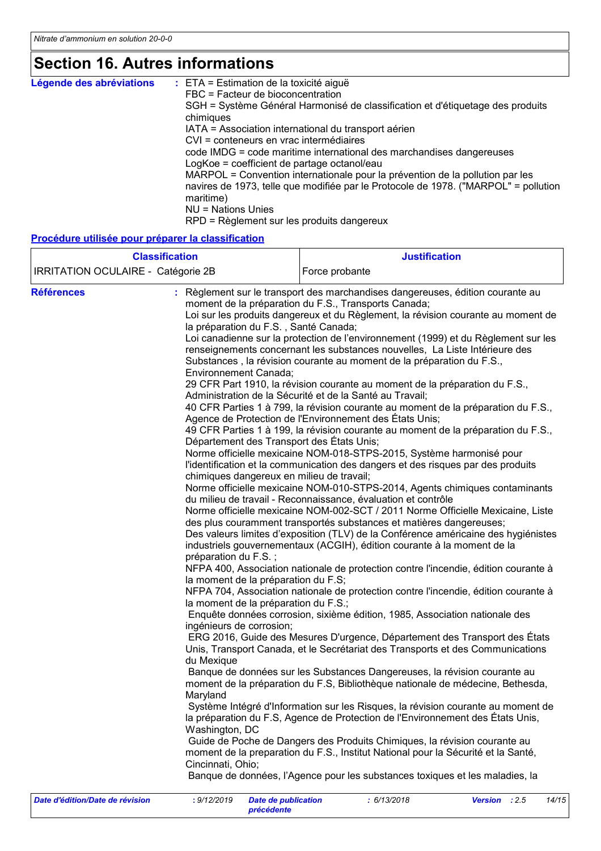## **Section 16. Autres informations**

| Légende des abréviations | $\therefore$ ETA = Estimation de la toxicité aiguë                                               |
|--------------------------|--------------------------------------------------------------------------------------------------|
|                          | FBC = Facteur de bioconcentration                                                                |
|                          | SGH = Système Général Harmonisé de classification et d'étiquetage des produits                   |
|                          | chimiques                                                                                        |
|                          | IATA = Association international du transport aérien                                             |
|                          | CVI = conteneurs en vrac intermédiaires                                                          |
|                          | code IMDG = code maritime international des marchandises dangereuses                             |
|                          | LogKoe = coefficient de partage octanol/eau                                                      |
|                          | MARPOL = Convention internationale pour la prévention de la pollution par les                    |
|                          | navires de 1973, telle que modifiée par le Protocole de 1978. ("MARPOL" = pollution<br>maritime) |
|                          | NU = Nations Unies                                                                               |
|                          | RPD = Règlement sur les produits dangereux                                                       |

#### **Procédure utilisée pour préparer la classification**

| <b>Classification</b><br>IRRITATION OCULAIRE - Catégorie 2B |                                                                                                                                                                                                                                                                                                                                                                                                           | <b>Justification</b>                                                                                                                                                                                                                                                                                                                                                                                                                                                                                                                                                                                                                                                                                                                                                                                                                                                                                                                                                                                                                                                                                                                                                                                                                                                                                                                                                                                                                                                                                                                                                                                                                                                                                                                                                                                                                                                                                                                                                                                                                                                                                                                                                                                                                                                                                                                                                                                                                                                                                                                |                        |
|-------------------------------------------------------------|-----------------------------------------------------------------------------------------------------------------------------------------------------------------------------------------------------------------------------------------------------------------------------------------------------------------------------------------------------------------------------------------------------------|-------------------------------------------------------------------------------------------------------------------------------------------------------------------------------------------------------------------------------------------------------------------------------------------------------------------------------------------------------------------------------------------------------------------------------------------------------------------------------------------------------------------------------------------------------------------------------------------------------------------------------------------------------------------------------------------------------------------------------------------------------------------------------------------------------------------------------------------------------------------------------------------------------------------------------------------------------------------------------------------------------------------------------------------------------------------------------------------------------------------------------------------------------------------------------------------------------------------------------------------------------------------------------------------------------------------------------------------------------------------------------------------------------------------------------------------------------------------------------------------------------------------------------------------------------------------------------------------------------------------------------------------------------------------------------------------------------------------------------------------------------------------------------------------------------------------------------------------------------------------------------------------------------------------------------------------------------------------------------------------------------------------------------------------------------------------------------------------------------------------------------------------------------------------------------------------------------------------------------------------------------------------------------------------------------------------------------------------------------------------------------------------------------------------------------------------------------------------------------------------------------------------------------------|------------------------|
|                                                             |                                                                                                                                                                                                                                                                                                                                                                                                           | Force probante                                                                                                                                                                                                                                                                                                                                                                                                                                                                                                                                                                                                                                                                                                                                                                                                                                                                                                                                                                                                                                                                                                                                                                                                                                                                                                                                                                                                                                                                                                                                                                                                                                                                                                                                                                                                                                                                                                                                                                                                                                                                                                                                                                                                                                                                                                                                                                                                                                                                                                                      |                        |
| <b>Références</b><br>Date d'édition/Date de révision        | la préparation du F.S., Santé Canada;<br>Environnement Canada;<br>Département des Transport des États Unis;<br>chimiques dangereux en milieu de travail;<br>préparation du F.S.;<br>la moment de la préparation du F.S;<br>la moment de la préparation du F.S.;<br>ingénieurs de corrosion;<br>du Mexique<br>Maryland<br>Washington, DC<br>Cincinnati, Ohio;<br>: 9/12/2019<br><b>Date de publication</b> | : Règlement sur le transport des marchandises dangereuses, édition courante au<br>moment de la préparation du F.S., Transports Canada;<br>Loi sur les produits dangereux et du Règlement, la révision courante au moment de<br>Loi canadienne sur la protection de l'environnement (1999) et du Règlement sur les<br>renseignements concernant les substances nouvelles, La Liste Intérieure des<br>Substances, la révision courante au moment de la préparation du F.S.,<br>29 CFR Part 1910, la révision courante au moment de la préparation du F.S.,<br>Administration de la Sécurité et de la Santé au Travail;<br>40 CFR Parties 1 à 799, la révision courante au moment de la préparation du F.S.,<br>Agence de Protection de l'Environnement des États Unis;<br>49 CFR Parties 1 à 199, la révision courante au moment de la préparation du F.S.,<br>Norme officielle mexicaine NOM-018-STPS-2015, Système harmonisé pour<br>l'identification et la communication des dangers et des risques par des produits<br>Norme officielle mexicaine NOM-010-STPS-2014, Agents chimiques contaminants<br>du milieu de travail - Reconnaissance, évaluation et contrôle<br>Norme officielle mexicaine NOM-002-SCT / 2011 Norme Officielle Mexicaine, Liste<br>des plus couramment transportés substances et matières dangereuses;<br>Des valeurs limites d'exposition (TLV) de la Conférence américaine des hygiénistes<br>industriels gouvernementaux (ACGIH), édition courante à la moment de la<br>NFPA 400, Association nationale de protection contre l'incendie, édition courante à<br>NFPA 704, Association nationale de protection contre l'incendie, édition courante à<br>Enquête données corrosion, sixième édition, 1985, Association nationale des<br>ERG 2016, Guide des Mesures D'urgence, Département des Transport des États<br>Unis, Transport Canada, et le Secrétariat des Transports et des Communications<br>Banque de données sur les Substances Dangereuses, la révision courante au<br>moment de la préparation du F.S, Bibliothèque nationale de médecine, Bethesda,<br>Système Intégré d'Information sur les Risques, la révision courante au moment de<br>la préparation du F.S, Agence de Protection de l'Environnement des États Unis,<br>Guide de Poche de Dangers des Produits Chimiques, la révision courante au<br>moment de la preparation du F.S., Institut National pour la Sécurité et la Santé,<br>Banque de données, l'Agence pour les substances toxiques et les maladies, la<br>: 6/13/2018 | Version : 2.5<br>14/15 |
|                                                             | précédente                                                                                                                                                                                                                                                                                                                                                                                                |                                                                                                                                                                                                                                                                                                                                                                                                                                                                                                                                                                                                                                                                                                                                                                                                                                                                                                                                                                                                                                                                                                                                                                                                                                                                                                                                                                                                                                                                                                                                                                                                                                                                                                                                                                                                                                                                                                                                                                                                                                                                                                                                                                                                                                                                                                                                                                                                                                                                                                                                     |                        |